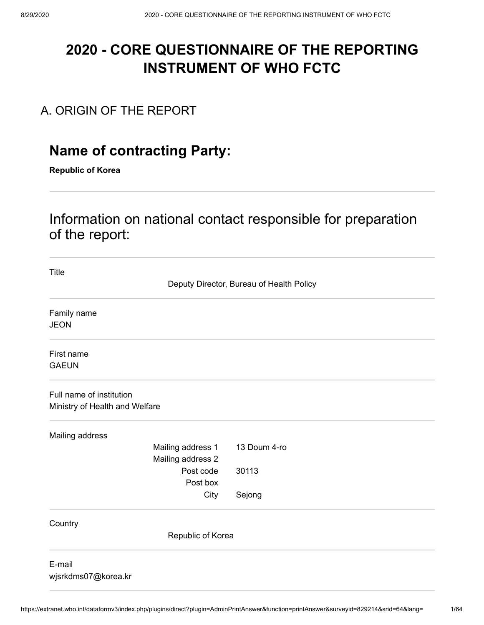# **2020 - CORE QUESTIONNAIRE OF THE REPORTING INSTRUMENT OF WHO FCTC**

## A. ORIGIN OF THE REPORT

# **Name of contracting Party:**

**Republic of Korea**

# Information on national contact responsible for preparation of the report:

| <b>Title</b>                   |                                          |
|--------------------------------|------------------------------------------|
|                                | Deputy Director, Bureau of Health Policy |
| Family name                    |                                          |
| <b>JEON</b>                    |                                          |
| First name                     |                                          |
| <b>GAEUN</b>                   |                                          |
| Full name of institution       |                                          |
| Ministry of Health and Welfare |                                          |
| Mailing address                |                                          |
| Mailing address 1              | 13 Doum 4-ro                             |
| Mailing address 2              |                                          |
| Post code                      | 30113                                    |
| Post box                       |                                          |
| City                           | Sejong                                   |
| Country                        |                                          |
| Republic of Korea              |                                          |
| E-mail<br>wjsrkdms07@korea.kr  |                                          |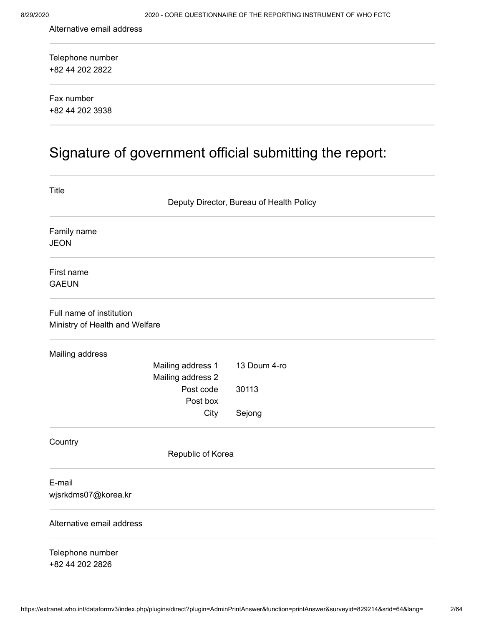Alternative email address

+82 44 202 2822 Telephone number

+82 44 202 3938 Fax number

# Signature of government official submitting the report:

| Title                                                      |                                        |                                          |
|------------------------------------------------------------|----------------------------------------|------------------------------------------|
|                                                            |                                        | Deputy Director, Bureau of Health Policy |
| Family name<br><b>JEON</b>                                 |                                        |                                          |
| First name                                                 |                                        |                                          |
| <b>GAEUN</b>                                               |                                        |                                          |
| Full name of institution<br>Ministry of Health and Welfare |                                        |                                          |
| Mailing address                                            |                                        |                                          |
|                                                            | Mailing address 1<br>Mailing address 2 | 13 Doum 4-ro                             |
|                                                            | Post code                              | 30113                                    |
|                                                            | Post box<br>City                       | Sejong                                   |
|                                                            |                                        |                                          |
| Country                                                    | Republic of Korea                      |                                          |
| E-mail<br>wjsrkdms07@korea.kr                              |                                        |                                          |
| Alternative email address                                  |                                        |                                          |
| Telephone number<br>+82 44 202 2826                        |                                        |                                          |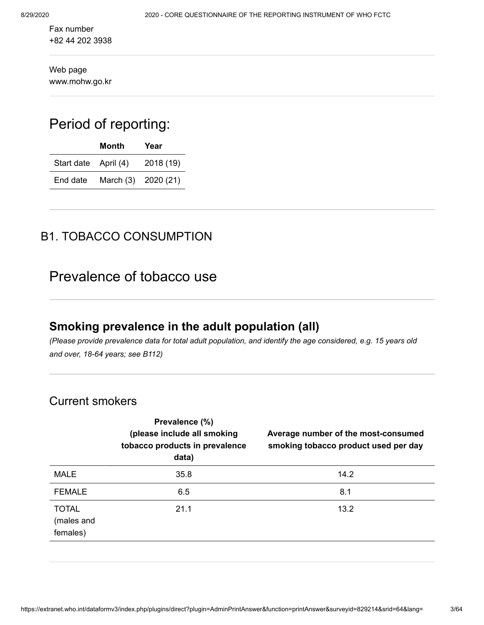+82 44 202 3938 Fax number

www.mohw.go.kr Web page

# Period of reporting:

|                      | Month               | Year      |
|----------------------|---------------------|-----------|
| Start date April (4) |                     | 2018 (19) |
| End date             | March (3) 2020 (21) |           |

## B1. TOBACCO CONSUMPTION

# Prevalence of tobacco use

## **Smoking prevalence in the adult population (all)**

*(Please provide prevalence data for total adult population, and identify the age considered, e.g. 15 years old and over, 18-64 years; see B112)*

### Current smokers

|                                        | Prevalence (%)<br>(please include all smoking<br>tobacco products in prevalence<br>data) | Average number of the most-consumed<br>smoking tobacco product used per day |
|----------------------------------------|------------------------------------------------------------------------------------------|-----------------------------------------------------------------------------|
| <b>MALE</b>                            | 35.8                                                                                     | 14.2                                                                        |
| <b>FEMALE</b>                          | 6.5                                                                                      | 8.1                                                                         |
| <b>TOTAL</b><br>(males and<br>females) | 21.1                                                                                     | 13.2                                                                        |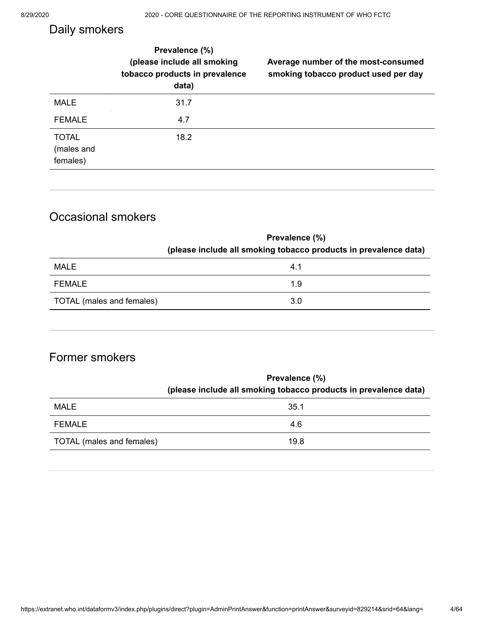## Daily smokers

|                                        | Prevalence (%)<br>(please include all smoking<br>tobacco products in prevalence<br>data) | Average number of the most-consumed<br>smoking tobacco product used per day |
|----------------------------------------|------------------------------------------------------------------------------------------|-----------------------------------------------------------------------------|
| <b>MALE</b>                            | 31.7                                                                                     |                                                                             |
| <b>FEMALE</b>                          | 4.7                                                                                      |                                                                             |
| <b>TOTAL</b><br>(males and<br>females) | 18.2                                                                                     |                                                                             |

## Occasional smokers

|                           | Prevalence (%)                                                   |  |
|---------------------------|------------------------------------------------------------------|--|
|                           | (please include all smoking tobacco products in prevalence data) |  |
| MALE                      | 4.1                                                              |  |
| FEMALE                    | 1.9                                                              |  |
| TOTAL (males and females) | 3.0                                                              |  |
|                           |                                                                  |  |

## Former smokers

|                           | Prevalence (%)                                                   |
|---------------------------|------------------------------------------------------------------|
|                           | (please include all smoking tobacco products in prevalence data) |
| MALE                      | 35.1                                                             |
| FEMALE                    | 4.6                                                              |
| TOTAL (males and females) | 19.8                                                             |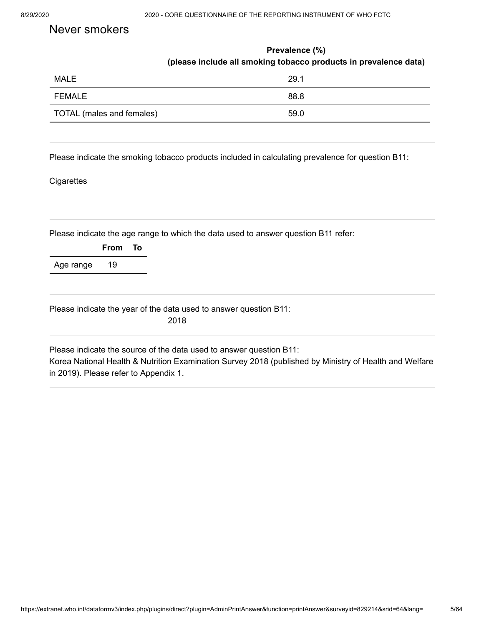### Never smokers

|                           | Prevalence (%)                                                   |  |
|---------------------------|------------------------------------------------------------------|--|
|                           | (please include all smoking tobacco products in prevalence data) |  |
| <b>MALE</b>               | 29.1                                                             |  |
| FEMALE                    | 88.8                                                             |  |
| TOTAL (males and females) | 59.0                                                             |  |

Please indicate the smoking tobacco products included in calculating prevalence for question B11:

#### **Cigarettes**

|           |         | Please indicate the age range to which the data used to answer question B11 refer: |
|-----------|---------|------------------------------------------------------------------------------------|
|           | From To |                                                                                    |
| Age range | 19      |                                                                                    |
|           |         | Please indicate the year of the data used to answer question B11:                  |
|           |         | 2018                                                                               |

in 2019). Please refer to Appendix 1.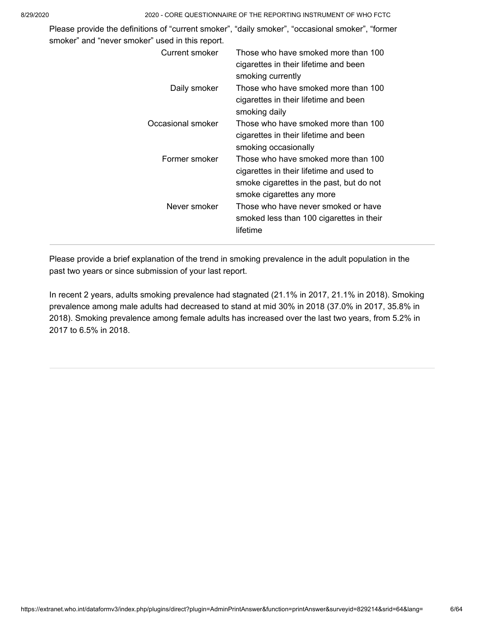| Please provide the definitions of "current smoker", "daily smoker", "occasional smoker", "former<br>smoker" and "never smoker" used in this report. |                                                                                                                                                          |
|-----------------------------------------------------------------------------------------------------------------------------------------------------|----------------------------------------------------------------------------------------------------------------------------------------------------------|
| Current smoker                                                                                                                                      | Those who have smoked more than 100<br>cigarettes in their lifetime and been<br>smoking currently                                                        |
| Daily smoker                                                                                                                                        | Those who have smoked more than 100<br>cigarettes in their lifetime and been<br>smoking daily                                                            |
| Occasional smoker                                                                                                                                   | Those who have smoked more than 100<br>cigarettes in their lifetime and been<br>smoking occasionally                                                     |
| Former smoker                                                                                                                                       | Those who have smoked more than 100<br>cigarettes in their lifetime and used to<br>smoke cigarettes in the past, but do not<br>smoke cigarettes any more |
| Never smoker                                                                                                                                        | Those who have never smoked or have<br>smoked less than 100 cigarettes in their<br>lifetime                                                              |

Please provide a brief explanation of the trend in smoking prevalence in the adult population in the past two years or since submission of your last report.

In recent 2 years, adults smoking prevalence had stagnated (21.1% in 2017, 21.1% in 2018). Smoking prevalence among male adults had decreased to stand at mid 30% in 2018 (37.0% in 2017, 35.8% in 2018). Smoking prevalence among female adults has increased over the last two years, from 5.2% in 2017 to 6.5% in 2018.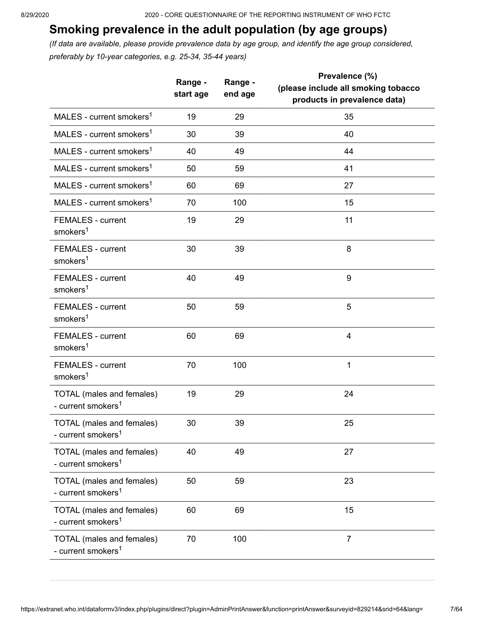## **Smoking prevalence in the adult population (by age groups)**

*(If data are available, please provide prevalence data by age group, and identify the age group considered, preferably by 10-year categories, e.g. 25-34, 35-44 years)*

|                                                             | Range -<br>start age | Range -<br>end age | Prevalence (%)<br>(please include all smoking tobacco<br>products in prevalence data) |
|-------------------------------------------------------------|----------------------|--------------------|---------------------------------------------------------------------------------------|
| MALES - current smokers <sup>1</sup>                        | 19                   | 29                 | 35                                                                                    |
| MALES - current smokers <sup>1</sup>                        | 30                   | 39                 | 40                                                                                    |
| MALES - current smokers <sup>1</sup>                        | 40                   | 49                 | 44                                                                                    |
| MALES - current smokers <sup>1</sup>                        | 50                   | 59                 | 41                                                                                    |
| MALES - current smokers <sup>1</sup>                        | 60                   | 69                 | 27                                                                                    |
| MALES - current smokers <sup>1</sup>                        | 70                   | 100                | 15                                                                                    |
| <b>FEMALES - current</b><br>smokers <sup>1</sup>            | 19                   | 29                 | 11                                                                                    |
| <b>FEMALES - current</b><br>smokers <sup>1</sup>            | 30                   | 39                 | 8                                                                                     |
| <b>FEMALES - current</b><br>smokers <sup>1</sup>            | 40                   | 49                 | 9                                                                                     |
| <b>FEMALES - current</b><br>smokers <sup>1</sup>            | 50                   | 59                 | 5                                                                                     |
| <b>FEMALES - current</b><br>smokers <sup>1</sup>            | 60                   | 69                 | 4                                                                                     |
| <b>FEMALES - current</b><br>smokers <sup>1</sup>            | 70                   | 100                | 1                                                                                     |
| TOTAL (males and females)<br>- current smokers <sup>1</sup> | 19                   | 29                 | 24                                                                                    |
| TOTAL (males and females)<br>- current smokers <sup>1</sup> | 30                   | 39                 | 25                                                                                    |
| TOTAL (males and females)<br>- current smokers <sup>1</sup> | 40                   | 49                 | 27                                                                                    |
| TOTAL (males and females)<br>- current smokers <sup>1</sup> | 50                   | 59                 | 23                                                                                    |
| TOTAL (males and females)<br>- current smokers <sup>1</sup> | 60                   | 69                 | 15                                                                                    |
| TOTAL (males and females)<br>- current smokers <sup>1</sup> | 70                   | 100                | $\overline{7}$                                                                        |
|                                                             |                      |                    |                                                                                       |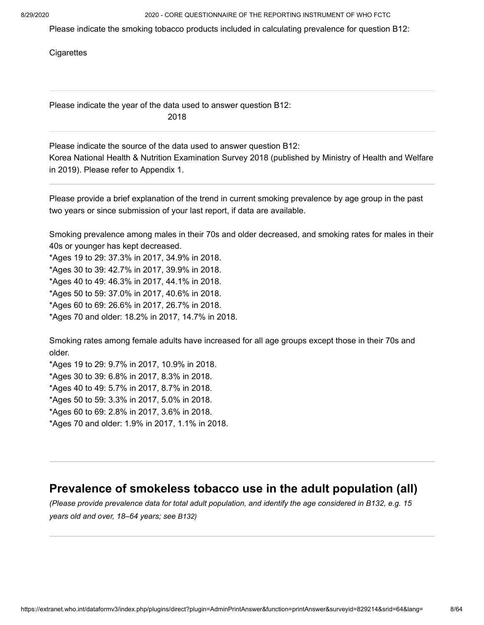Please indicate the smoking tobacco products included in calculating prevalence for question B12:

**Cigarettes** 

Please indicate the year of the data used to answer question B12: 2018

Korea National Health & Nutrition Examination Survey 2018 (published by Ministry of Health and Welfare in 2019). Please refer to Appendix 1. Please indicate the source of the data used to answer question B12:

Please provide a brief explanation of the trend in current smoking prevalence by age group in the past two years or since submission of your last report, if data are available.

Smoking prevalence among males in their 70s and older decreased, and smoking rates for males in their 40s or younger has kept decreased.

\*Ages 19 to 29: 37.3% in 2017, 34.9% in 2018. \*Ages 30 to 39: 42.7% in 2017, 39.9% in 2018. \*Ages 40 to 49: 46.3% in 2017, 44.1% in 2018. \*Ages 50 to 59: 37.0% in 2017, 40.6% in 2018. \*Ages 60 to 69: 26.6% in 2017, 26.7% in 2018. \*Ages 70 and older: 18.2% in 2017, 14.7% in 2018.

Smoking rates among female adults have increased for all age groups except those in their 70s and older.

\*Ages 19 to 29: 9.7% in 2017, 10.9% in 2018. \*Ages 30 to 39: 6.8% in 2017, 8.3% in 2018. \*Ages 40 to 49: 5.7% in 2017, 8.7% in 2018. \*Ages 50 to 59: 3.3% in 2017, 5.0% in 2018. \*Ages 60 to 69: 2.8% in 2017, 3.6% in 2018. \*Ages 70 and older: 1.9% in 2017, 1.1% in 2018.

### **Prevalence of smokeless tobacco use in the adult population (all)**

*(Please provide prevalence data for total adult population, and identify the age considered in B132, e.g. 15 years old and over, 18–64 years; see B132)*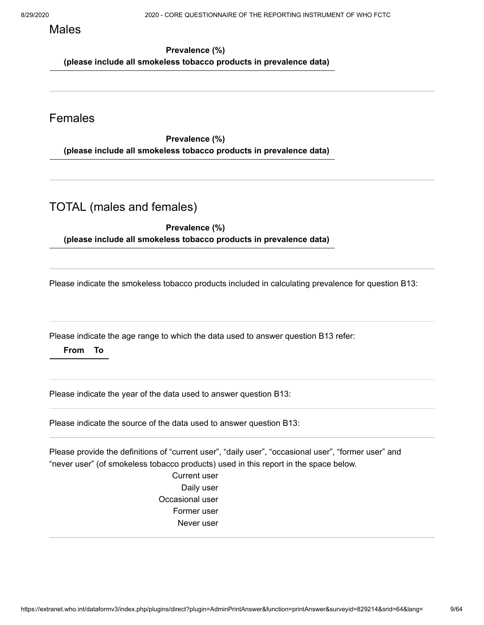Males

**Prevalence (%) (please include all smokeless tobacco products in prevalence data)**

### Females

**Prevalence (%) (please include all smokeless tobacco products in prevalence data)**

### TOTAL (males and females)

**Prevalence (%)** 

**(please include all smokeless tobacco products in prevalence data)**

Please indicate the smokeless tobacco products included in calculating prevalence for question B13:

Please indicate the age range to which the data used to answer question B13 refer:

#### **From To**

Please indicate the year of the data used to answer question B13:

Please indicate the source of the data used to answer question B13:

Please provide the definitions of "current user", "daily user", "occasional user", "former user" and "never user" (of smokeless tobacco products) used in this report in the space below.

> Current user Daily user Occasional user Former user Never user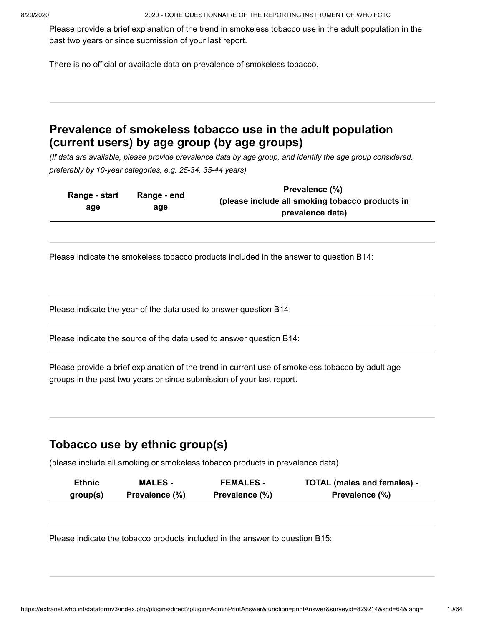Please provide a brief explanation of the trend in smokeless tobacco use in the adult population in the past two years or since submission of your last report.

There is no official or available data on prevalence of smokeless tobacco.

## **Prevalence of smokeless tobacco use in the adult population (current users) by age group (by age groups)**

*(If data are available, please provide prevalence data by age group, and identify the age group considered, preferably by 10-year categories, e.g. 25-34, 35-44 years)*

| Range - start<br>Range - end | Prevalence (%)                                  |                  |
|------------------------------|-------------------------------------------------|------------------|
|                              | (please include all smoking tobacco products in |                  |
| age                          | age                                             | prevalence data) |
|                              |                                                 |                  |

Please indicate the smokeless tobacco products included in the answer to question B14:

Please indicate the year of the data used to answer question B14:

Please indicate the source of the data used to answer question B14:

Please provide a brief explanation of the trend in current use of smokeless tobacco by adult age groups in the past two years or since submission of your last report.

### **Tobacco use by ethnic group(s)**

(please include all smoking or smokeless tobacco products in prevalence data)

| <b>Ethnic</b> | <b>MALES -</b> | <b>FEMALES -</b> | <b>TOTAL (males and females) -</b> |
|---------------|----------------|------------------|------------------------------------|
| group(s)      | Prevalence (%) | Prevalence (%)   | Prevalence (%)                     |

Please indicate the tobacco products included in the answer to question B15: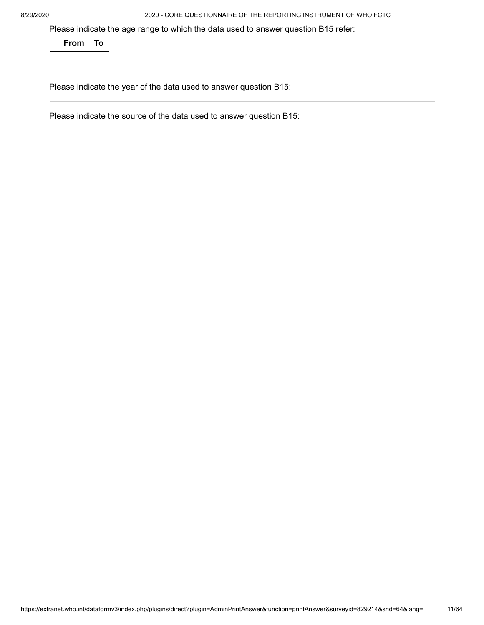Please indicate the age range to which the data used to answer question B15 refer:

**From To**

Please indicate the year of the data used to answer question B15:

Please indicate the source of the data used to answer question B15: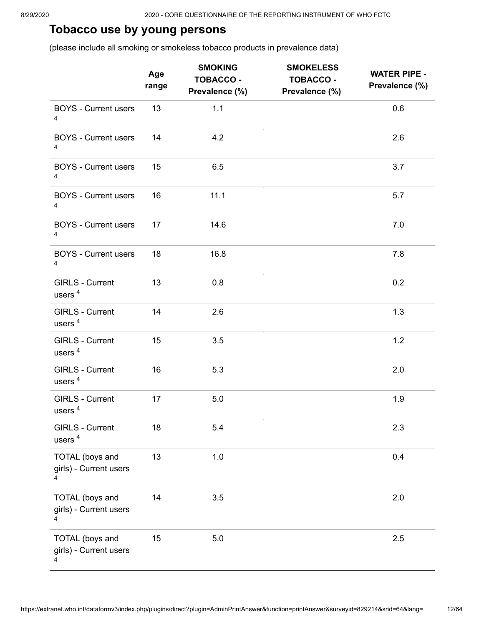## **Tobacco use by young persons**

(please include all smoking or smokeless tobacco products in prevalence data)

|                                                       | Age<br>range | <b>SMOKING</b><br><b>TOBACCO -</b><br>Prevalence (%) | <b>SMOKELESS</b><br><b>TOBACCO -</b><br>Prevalence (%) | <b>WATER PIPE -</b><br>Prevalence (%) |
|-------------------------------------------------------|--------------|------------------------------------------------------|--------------------------------------------------------|---------------------------------------|
| <b>BOYS - Current users</b><br>4                      | 13           | 1.1                                                  |                                                        | 0.6                                   |
| <b>BOYS - Current users</b><br>4                      | 14           | 4.2                                                  |                                                        | 2.6                                   |
| <b>BOYS - Current users</b><br>4                      | 15           | 6.5                                                  |                                                        | 3.7                                   |
| <b>BOYS - Current users</b><br>4                      | 16           | 11.1                                                 |                                                        | 5.7                                   |
| <b>BOYS - Current users</b><br>4                      | 17           | 14.6                                                 |                                                        | 7.0                                   |
| <b>BOYS - Current users</b><br>4                      | 18           | 16.8                                                 |                                                        | 7.8                                   |
| <b>GIRLS - Current</b><br>users <sup>4</sup>          | 13           | 0.8                                                  |                                                        | 0.2                                   |
| <b>GIRLS - Current</b><br>users <sup>4</sup>          | 14           | 2.6                                                  |                                                        | 1.3                                   |
| GIRLS - Current<br>users <sup>4</sup>                 | 15           | 3.5                                                  |                                                        | 1.2                                   |
| GIRLS - Current<br>users <sup>4</sup>                 | 16           | 5.3                                                  |                                                        | 2.0                                   |
| GIRLS - Current<br>users <sup>4</sup>                 | 17           | 5.0                                                  |                                                        | 1.9                                   |
| <b>GIRLS - Current</b><br>users <sup>4</sup>          | 18           | 5.4                                                  |                                                        | 2.3                                   |
| <b>TOTAL</b> (boys and<br>girls) - Current users<br>4 | 13           | 1.0                                                  |                                                        | 0.4                                   |
| <b>TOTAL</b> (boys and<br>girls) - Current users<br>4 | 14           | 3.5                                                  |                                                        | 2.0                                   |
| <b>TOTAL</b> (boys and<br>girls) - Current users<br>4 | 15           | 5.0                                                  |                                                        | 2.5                                   |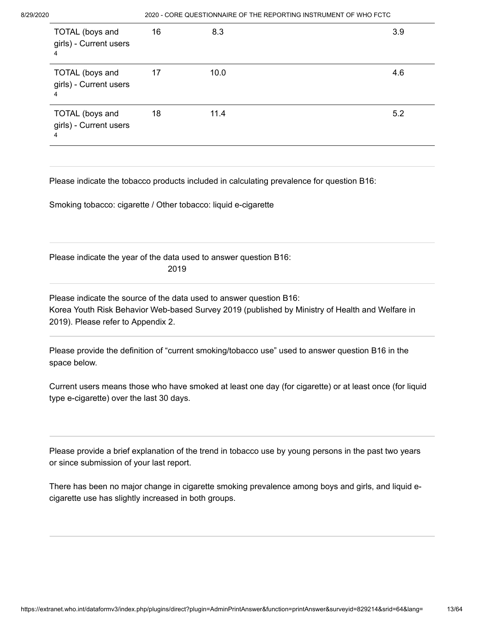| TOTAL (boys and<br>girls) - Current users<br>4 | 16 | 8.3  | 3.9 |
|------------------------------------------------|----|------|-----|
| TOTAL (boys and<br>girls) - Current users<br>4 | 17 | 10.0 | 4.6 |
| TOTAL (boys and<br>girls) - Current users<br>4 | 18 | 11.4 | 5.2 |

Please indicate the tobacco products included in calculating prevalence for question B16:

Smoking tobacco: cigarette / Other tobacco: liquid e-cigarette

Please indicate the year of the data used to answer question B16: 2019

Korea Youth Risk Behavior Web-based Survey 2019 (published by Ministry of Health and Welfare in 2019). Please refer to Appendix 2. Please indicate the source of the data used to answer question B16:

Please provide the definition of "current smoking/tobacco use" used to answer question B16 in the space below.

Current users means those who have smoked at least one day (for cigarette) or at least once (for liquid type e-cigarette) over the last 30 days.

Please provide a brief explanation of the trend in tobacco use by young persons in the past two years or since submission of your last report.

There has been no major change in cigarette smoking prevalence among boys and girls, and liquid ecigarette use has slightly increased in both groups.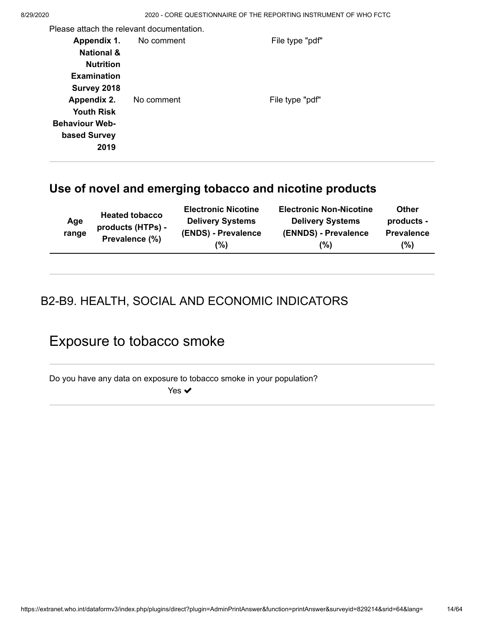Please attach the relevant documentation.

| Appendix 1.<br><b>National &amp;</b><br><b>Nutrition</b><br><b>Examination</b> | No comment | File type "pdf" |
|--------------------------------------------------------------------------------|------------|-----------------|
| Survey 2018                                                                    |            |                 |
| Appendix 2.<br><b>Youth Risk</b>                                               | No comment | File type "pdf" |
| <b>Behaviour Web-</b><br>based Survey                                          |            |                 |
| 2019                                                                           |            |                 |

## **Use of novel and emerging tobacco and nicotine products**

| Age<br>range | <b>Heated tobacco</b><br>products (HTPs) -<br>Prevalence (%) | <b>Electronic Nicotine</b><br><b>Delivery Systems</b><br>(ENDS) - Prevalence<br>(% | <b>Electronic Non-Nicotine</b><br><b>Delivery Systems</b><br>(ENNDS) - Prevalence<br>(%) | <b>Other</b><br>products -<br><b>Prevalence</b><br>(%) |
|--------------|--------------------------------------------------------------|------------------------------------------------------------------------------------|------------------------------------------------------------------------------------------|--------------------------------------------------------|
|              |                                                              |                                                                                    |                                                                                          |                                                        |

## B2-B9. HEALTH, SOCIAL AND ECONOMIC INDICATORS

# Exposure to tobacco smoke

Do you have any data on exposure to tobacco smoke in your population?

Yes **✓**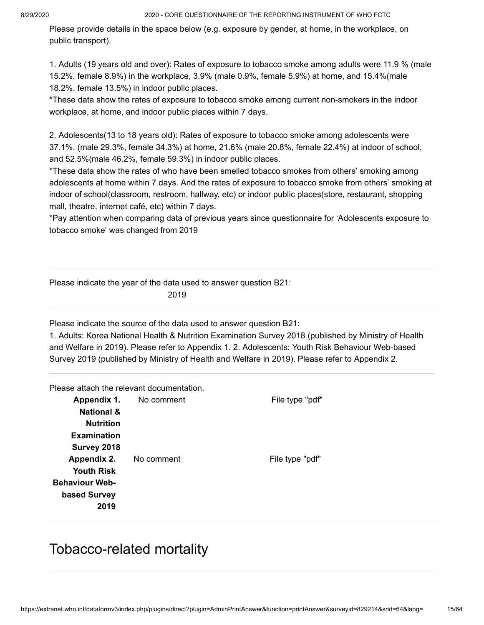Please provide details in the space below (e.g. exposure by gender, at home, in the workplace, on public transport).

1. Adults (19 years old and over): Rates of exposure to tobacco smoke among adults were 11.9 % (male 15.2%, female 8.9%) in the workplace, 3.9% (male 0.9%, female 5.9%) at home, and 15.4%(male 18.2%, female 13.5%) in indoor public places.

\*These data show the rates of exposure to tobacco smoke among current non-smokers in the indoor workplace, at home, and indoor public places within 7 days.

2. Adolescents(13 to 18 years old): Rates of exposure to tobacco smoke among adolescents were 37.1%. (male 29.3%, female 34.3%) at home, 21.6% (male 20.8%, female 22.4%) at indoor of school, and 52.5%(male 46.2%, female 59.3%) in indoor public places.

\*These data show the rates of who have been smelled tobacco smokes from others' smoking among adolescents at home within 7 days. And the rates of exposure to tobacco smoke from others' smoking at indoor of school(classroom, restroom, hallway, etc) or indoor public places(store, restaurant, shopping mall, theatre, internet café, etc) within 7 days.

\*Pay attention when comparing data of previous years since questionnaire for 'Adolescents exposure to tobacco smoke' was changed from 2019

Please indicate the year of the data used to answer question B21:

2019

Please indicate the source of the data used to answer question B21:

1. Adults: Korea National Health & Nutrition Examination Survey 2018 (published by Ministry of Health and Welfare in 2019). Please refer to Appendix 1. 2. Adolescents: Youth Risk Behaviour Web-based Survey 2019 (published by Ministry of Health and Welfare in 2019). Please refer to Appendix 2.

Please attach the relevant documentation.

| Appendix 1.           | No comment | File type "pdf" |
|-----------------------|------------|-----------------|
| <b>National &amp;</b> |            |                 |
| <b>Nutrition</b>      |            |                 |
| <b>Examination</b>    |            |                 |
| Survey 2018           |            |                 |
| Appendix 2.           | No comment | File type "pdf" |
| <b>Youth Risk</b>     |            |                 |
| <b>Behaviour Web-</b> |            |                 |
| based Survey          |            |                 |
| 2019                  |            |                 |

# Tobacco-related mortality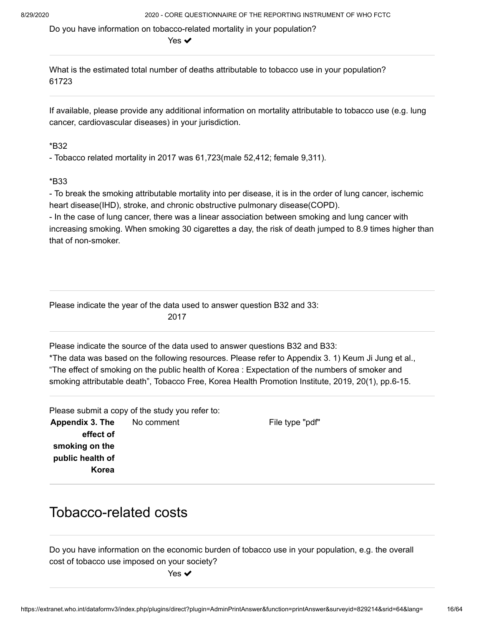Do you have information on tobacco-related mortality in your population?

Yes ✔

61723 What is the estimated total number of deaths attributable to tobacco use in your population?

If available, please provide any additional information on mortality attributable to tobacco use (e.g. lung cancer, cardiovascular diseases) in your jurisdiction.

#### \*B32

- Tobacco related mortality in 2017 was 61,723(male 52,412; female 9,311).

#### \*B33

- To break the smoking attributable mortality into per disease, it is in the order of lung cancer, ischemic heart disease(IHD), stroke, and chronic obstructive pulmonary disease(COPD).

- In the case of lung cancer, there was a linear association between smoking and lung cancer with increasing smoking. When smoking 30 cigarettes a day, the risk of death jumped to 8.9 times higher than that of non-smoker.

Please indicate the year of the data used to answer question B32 and 33: 2017

Please indicate the source of the data used to answer questions B32 and B33:

\*The data was based on the following resources. Please refer to Appendix 3. 1) Keum Ji Jung et al., "The effect of smoking on the public health of Korea : Expectation of the numbers of smoker and smoking attributable death", Tobacco Free, Korea Health Promotion Institute, 2019, 20(1), pp.6-15.

Please submit a copy of the study you refer to:

**Appendix 3. The effect of smoking on the public health of Korea**

No comment The Tile type "pdf"

## Tobacco-related costs

Do you have information on the economic burden of tobacco use in your population, e.g. the overall cost of tobacco use imposed on your society?

Yes  $\blacktriangledown$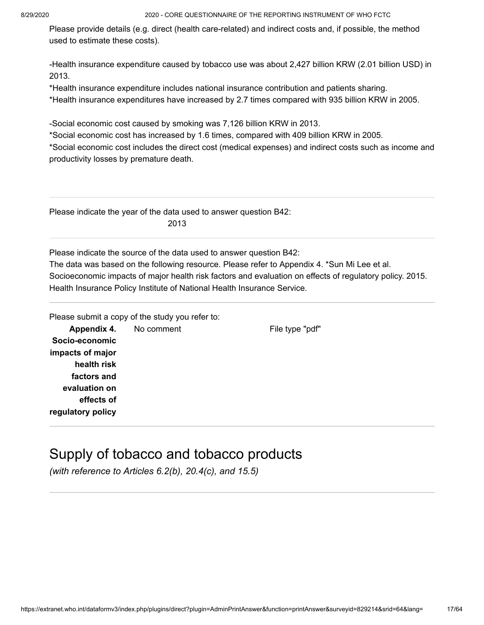Please provide details (e.g. direct (health care-related) and indirect costs and, if possible, the method used to estimate these costs).

-Health insurance expenditure caused by tobacco use was about 2,427 billion KRW (2.01 billion USD) in 2013.

\*Health insurance expenditure includes national insurance contribution and patients sharing. \*Health insurance expenditures have increased by 2.7 times compared with 935 billion KRW in 2005.

-Social economic cost caused by smoking was 7,126 billion KRW in 2013.

\*Social economic cost has increased by 1.6 times, compared with 409 billion KRW in 2005.

\*Social economic cost includes the direct cost (medical expenses) and indirect costs such as income and productivity losses by premature death.

Please indicate the year of the data used to answer question B42: 2013

Please indicate the source of the data used to answer question B42:

The data was based on the following resource. Please refer to Appendix 4. \*Sun Mi Lee et al. Socioeconomic impacts of major health risk factors and evaluation on effects of regulatory policy. 2015. Health Insurance Policy Institute of National Health Insurance Service.

|                   | Please submit a copy of the study you refer to: |                 |
|-------------------|-------------------------------------------------|-----------------|
|                   | <b>Appendix 4.</b> No comment                   | File type "pdf" |
| Socio-economic    |                                                 |                 |
| impacts of major  |                                                 |                 |
| health risk       |                                                 |                 |
| factors and       |                                                 |                 |
| evaluation on     |                                                 |                 |
| effects of        |                                                 |                 |
| regulatory policy |                                                 |                 |
|                   |                                                 |                 |

# Supply of tobacco and tobacco products

*(with reference to Articles 6.2(b), 20.4(c), and 15.5)*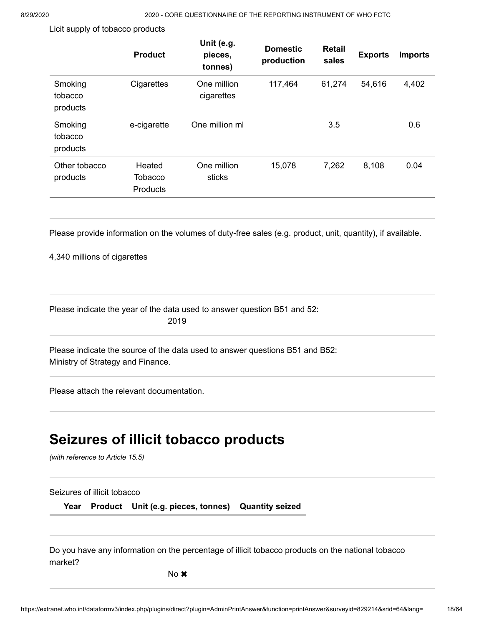Licit supply of tobacco products

|                                | <b>Product</b>                       | Unit (e.g.<br>pieces,<br>tonnes) | <b>Domestic</b><br>production | <b>Retail</b><br>sales | <b>Exports</b> | <b>Imports</b> |
|--------------------------------|--------------------------------------|----------------------------------|-------------------------------|------------------------|----------------|----------------|
| Smoking<br>tobacco<br>products | Cigarettes                           | One million<br>cigarettes        | 117,464                       | 61,274                 | 54,616         | 4,402          |
| Smoking<br>tobacco<br>products | e-cigarette                          | One million ml                   |                               | 3.5                    |                | 0.6            |
| Other tobacco<br>products      | Heated<br><b>Tobacco</b><br>Products | One million<br>sticks            | 15,078                        | 7,262                  | 8,108          | 0.04           |
|                                |                                      |                                  |                               |                        |                |                |

Please provide information on the volumes of duty-free sales (e.g. product, unit, quantity), if available.

4,340 millions of cigarettes

Please indicate the year of the data used to answer question B51 and 52: 2019

Ministry of Strategy and Finance. Please indicate the source of the data used to answer questions B51 and B52:

Please attach the relevant documentation.

# **Seizures of illicit tobacco products**

*(with reference to Article 15.5)* 

#### Seizures of illicit tobacco

**Year Product Unit (e.g. pieces, tonnes) Quantity seized**

Do you have any information on the percentage of illicit tobacco products on the national tobacco market?

No **x**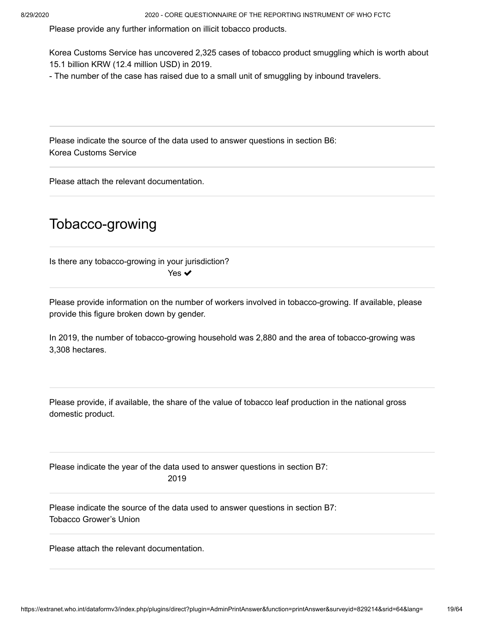Please provide any further information on illicit tobacco products.

Korea Customs Service has uncovered 2,325 cases of tobacco product smuggling which is worth about 15.1 billion KRW (12.4 million USD) in 2019.

- The number of the case has raised due to a small unit of smuggling by inbound travelers.

Korea Customs Service Please indicate the source of the data used to answer questions in section B6:

Please attach the relevant documentation.

## Tobacco-growing

Is there any tobacco-growing in your jurisdiction? Yes ✔

Please provide information on the number of workers involved in tobacco-growing. If available, please provide this figure broken down by gender.

In 2019, the number of tobacco-growing household was 2,880 and the area of tobacco-growing was 3,308 hectares.

Please provide, if available, the share of the value of tobacco leaf production in the national gross domestic product.

Please indicate the year of the data used to answer questions in section B7: 2019

Tobacco Grower's Union Please indicate the source of the data used to answer questions in section B7:

Please attach the relevant documentation.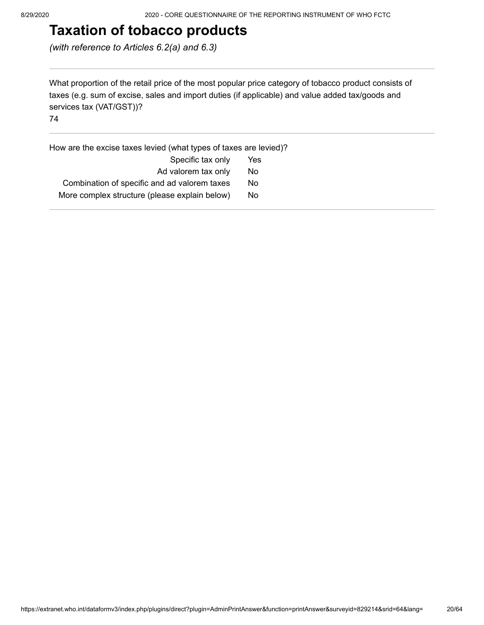# **Taxation of tobacco products**

*(with reference to Articles 6.2(a) and 6.3)*

What proportion of the retail price of the most popular price category of tobacco product consists of taxes (e.g. sum of excise, sales and import duties (if applicable) and value added tax/goods and services tax (VAT/GST))?

74

How are the excise taxes levied (what types of taxes are levied)?

| Specific tax only                             | Yes |
|-----------------------------------------------|-----|
| Ad valorem tax only                           | No  |
| Combination of specific and ad valorem taxes  | No. |
| More complex structure (please explain below) | Nο  |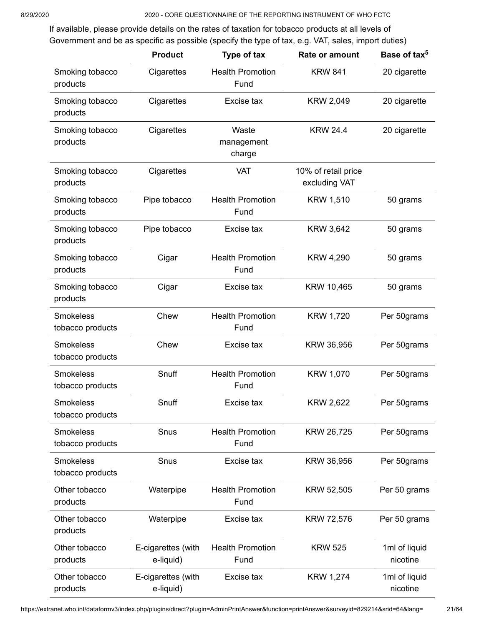If available, please provide details on the rates of taxation for tobacco products at all levels of Government and be as specific as possible (specify the type of tax, e.g. VAT, sales, import duties)

|                                      | <b>Product</b>                  | Type of tax                     | Rate or amount                       | Base of tax <sup>5</sup>  |
|--------------------------------------|---------------------------------|---------------------------------|--------------------------------------|---------------------------|
| Smoking tobacco<br>products          | Cigarettes                      | <b>Health Promotion</b><br>Fund | <b>KRW 841</b>                       | 20 cigarette              |
| Smoking tobacco<br>products          | Cigarettes                      | Excise tax                      | KRW 2,049                            | 20 cigarette              |
| Smoking tobacco<br>products          | Cigarettes                      | Waste<br>management<br>charge   | <b>KRW 24.4</b>                      | 20 cigarette              |
| Smoking tobacco<br>products          | Cigarettes                      | <b>VAT</b>                      | 10% of retail price<br>excluding VAT |                           |
| Smoking tobacco<br>products          | Pipe tobacco                    | <b>Health Promotion</b><br>Fund | <b>KRW 1,510</b>                     | 50 grams                  |
| Smoking tobacco<br>products          | Pipe tobacco                    | Excise tax                      | KRW 3,642                            | 50 grams                  |
| Smoking tobacco<br>products          | Cigar                           | <b>Health Promotion</b><br>Fund | <b>KRW 4,290</b>                     | 50 grams                  |
| Smoking tobacco<br>products          | Cigar                           | Excise tax                      | KRW 10,465                           | 50 grams                  |
| <b>Smokeless</b><br>tobacco products | Chew                            | <b>Health Promotion</b><br>Fund | <b>KRW 1,720</b>                     | Per 50grams               |
| <b>Smokeless</b><br>tobacco products | Chew                            | Excise tax                      | KRW 36,956                           | Per 50grams               |
| <b>Smokeless</b><br>tobacco products | Snuff                           | <b>Health Promotion</b><br>Fund | <b>KRW 1,070</b>                     | Per 50grams               |
| Smokeless<br>tobacco products        | Snuff                           | Excise tax                      | <b>KRW 2,622</b>                     | Per 50grams               |
| <b>Smokeless</b><br>tobacco products | Snus                            | <b>Health Promotion</b><br>Fund | KRW 26,725                           | Per 50grams               |
| <b>Smokeless</b><br>tobacco products | Snus                            | Excise tax                      | KRW 36,956                           | Per 50grams               |
| Other tobacco<br>products            | Waterpipe                       | <b>Health Promotion</b><br>Fund | KRW 52,505                           | Per 50 grams              |
| Other tobacco<br>products            | Waterpipe                       | Excise tax                      | <b>KRW 72,576</b>                    | Per 50 grams              |
| Other tobacco<br>products            | E-cigarettes (with<br>e-liquid) | <b>Health Promotion</b><br>Fund | <b>KRW 525</b>                       | 1ml of liquid<br>nicotine |
| Other tobacco<br>products            | E-cigarettes (with<br>e-liquid) | Excise tax                      | <b>KRW 1,274</b>                     | 1ml of liquid<br>nicotine |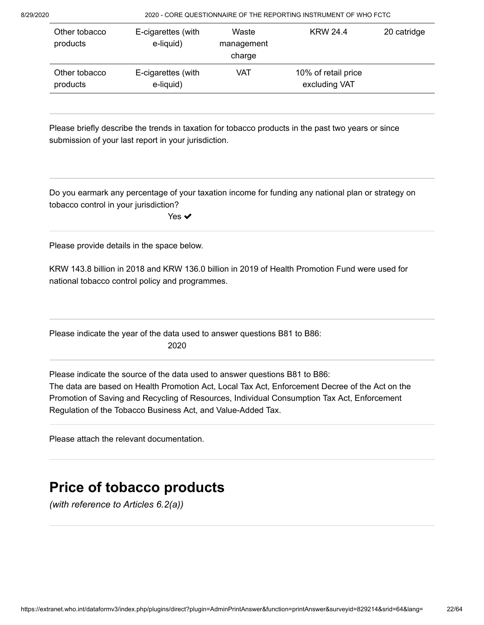| Other tobacco<br>products | E-cigarettes (with<br>e-liquid) | Waste<br>management<br>charge | <b>KRW 24.4</b>                      | 20 catridge |
|---------------------------|---------------------------------|-------------------------------|--------------------------------------|-------------|
| Other tobacco<br>products | E-cigarettes (with<br>e-liquid) | VAT                           | 10% of retail price<br>excluding VAT |             |

Please briefly describe the trends in taxation for tobacco products in the past two years or since submission of your last report in your jurisdiction.

Do you earmark any percentage of your taxation income for funding any national plan or strategy on tobacco control in your jurisdiction?

Yes **✓** 

Please provide details in the space below.

KRW 143.8 billion in 2018 and KRW 136.0 billion in 2019 of Health Promotion Fund were used for national tobacco control policy and programmes.

Please indicate the year of the data used to answer questions B81 to B86: 2020

The data are based on Health Promotion Act, Local Tax Act, Enforcement Decree of the Act on the Promotion of Saving and Recycling of Resources, Individual Consumption Tax Act, Enforcement Regulation of the Tobacco Business Act, and Value-Added Tax. Please indicate the source of the data used to answer questions B81 to B86:

Please attach the relevant documentation.

# **Price of tobacco products**

*(with reference to Articles 6.2(a))*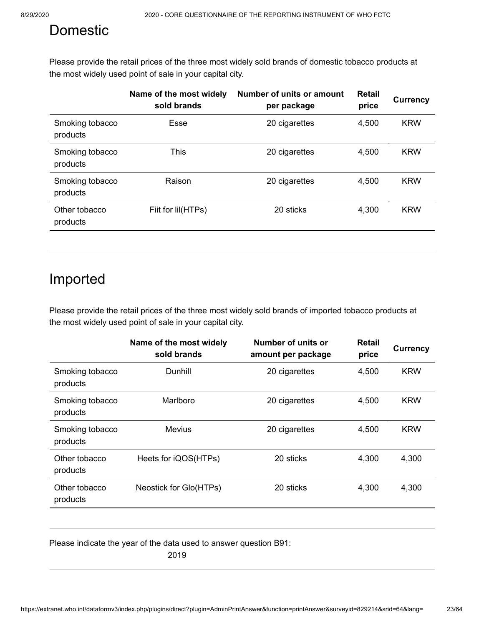# Domestic

Please provide the retail prices of the three most widely sold brands of domestic tobacco products at the most widely used point of sale in your capital city.

|                             | Name of the most widely<br>sold brands | Number of units or amount<br>per package | <b>Retail</b><br>price | <b>Currency</b> |
|-----------------------------|----------------------------------------|------------------------------------------|------------------------|-----------------|
| Smoking tobacco<br>products | Esse                                   | 20 cigarettes                            | 4,500                  | <b>KRW</b>      |
| Smoking tobacco<br>products | This                                   | 20 cigarettes                            | 4,500                  | <b>KRW</b>      |
| Smoking tobacco<br>products | Raison                                 | 20 cigarettes                            | 4,500                  | <b>KRW</b>      |
| Other tobacco<br>products   | Fiit for Iil(HTPs)                     | 20 sticks                                | 4,300                  | <b>KRW</b>      |
|                             |                                        |                                          |                        |                 |

# Imported

Please provide the retail prices of the three most widely sold brands of imported tobacco products at the most widely used point of sale in your capital city.

|                             | Name of the most widely<br>sold brands | Number of units or<br>amount per package | <b>Retail</b><br>price | <b>Currency</b> |
|-----------------------------|----------------------------------------|------------------------------------------|------------------------|-----------------|
| Smoking tobacco<br>products | Dunhill                                | 20 cigarettes                            | 4,500                  | <b>KRW</b>      |
| Smoking tobacco<br>products | Marlboro                               | 20 cigarettes                            | 4,500                  | <b>KRW</b>      |
| Smoking tobacco<br>products | <b>Mevius</b>                          | 20 cigarettes                            | 4,500                  | <b>KRW</b>      |
| Other tobacco<br>products   | Heets for iQOS(HTPs)                   | 20 sticks                                | 4,300                  | 4,300           |
| Other tobacco<br>products   | Neostick for Glo(HTPs)                 | 20 sticks                                | 4,300                  | 4,300           |

Please indicate the year of the data used to answer question B91:

2019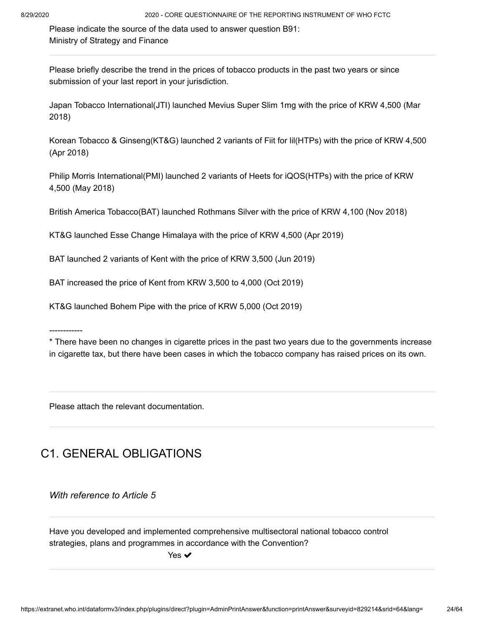Ministry of Strategy and Finance Please indicate the source of the data used to answer question B91:

Please briefly describe the trend in the prices of tobacco products in the past two years or since submission of your last report in your jurisdiction.

Japan Tobacco International(JTI) launched Mevius Super Slim 1mg with the price of KRW 4,500 (Mar 2018)

Korean Tobacco & Ginseng(KT&G) launched 2 variants of Fiit for lil(HTPs) with the price of KRW 4,500 (Apr 2018)

Philip Morris International(PMI) launched 2 variants of Heets for iQOS(HTPs) with the price of KRW 4,500 (May 2018)

British America Tobacco(BAT) launched Rothmans Silver with the price of KRW 4,100 (Nov 2018)

KT&G launched Esse Change Himalaya with the price of KRW 4,500 (Apr 2019)

BAT launched 2 variants of Kent with the price of KRW 3,500 (Jun 2019)

BAT increased the price of Kent from KRW 3,500 to 4,000 (Oct 2019)

KT&G launched Bohem Pipe with the price of KRW 5,000 (Oct 2019)

------------

\* There have been no changes in cigarette prices in the past two years due to the governments increase in cigarette tax, but there have been cases in which the tobacco company has raised prices on its own.

Please attach the relevant documentation.

## C1. GENERAL OBLIGATIONS

*With reference to Article 5*

Have you developed and implemented comprehensive multisectoral national tobacco control strategies, plans and programmes in accordance with the Convention?

Yes ✔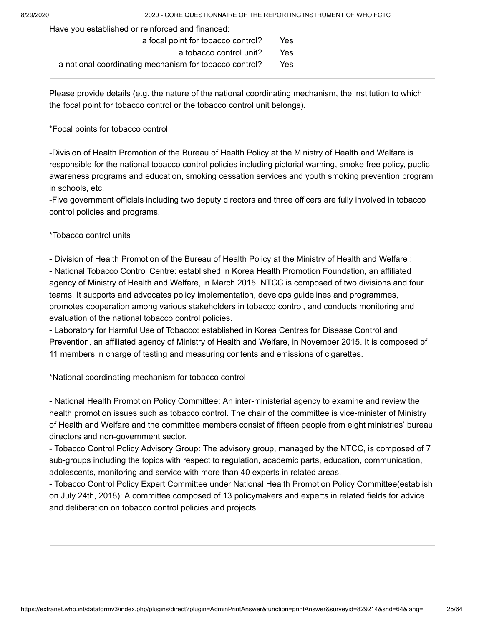Have you established or reinforced and financed:

| a focal point for tobacco control?                     | Yes  |
|--------------------------------------------------------|------|
| a tobacco control unit?                                | Yes  |
| a national coordinating mechanism for tobacco control? | Yes. |

Please provide details (e.g. the nature of the national coordinating mechanism, the institution to which the focal point for tobacco control or the tobacco control unit belongs).

\*Focal points for tobacco control

-Division of Health Promotion of the Bureau of Health Policy at the Ministry of Health and Welfare is responsible for the national tobacco control policies including pictorial warning, smoke free policy, public awareness programs and education, smoking cessation services and youth smoking prevention program in schools, etc.

-Five government officials including two deputy directors and three officers are fully involved in tobacco control policies and programs.

\*Tobacco control units

- Division of Health Promotion of the Bureau of Health Policy at the Ministry of Health and Welfare :

- National Tobacco Control Centre: established in Korea Health Promotion Foundation, an affiliated agency of Ministry of Health and Welfare, in March 2015. NTCC is composed of two divisions and four teams. It supports and advocates policy implementation, develops guidelines and programmes, promotes cooperation among various stakeholders in tobacco control, and conducts monitoring and evaluation of the national tobacco control policies.

- Laboratory for Harmful Use of Tobacco: established in Korea Centres for Disease Control and Prevention, an affiliated agency of Ministry of Health and Welfare, in November 2015. It is composed of 11 members in charge of testing and measuring contents and emissions of cigarettes.

\*National coordinating mechanism for tobacco control

- National Health Promotion Policy Committee: An inter-ministerial agency to examine and review the health promotion issues such as tobacco control. The chair of the committee is vice-minister of Ministry of Health and Welfare and the committee members consist of fifteen people from eight ministries' bureau directors and non-government sector.

- Tobacco Control Policy Advisory Group: The advisory group, managed by the NTCC, is composed of 7 sub-groups including the topics with respect to regulation, academic parts, education, communication, adolescents, monitoring and service with more than 40 experts in related areas.

- Tobacco Control Policy Expert Committee under National Health Promotion Policy Committee(establish on July 24th, 2018): A committee composed of 13 policymakers and experts in related fields for advice and deliberation on tobacco control policies and projects.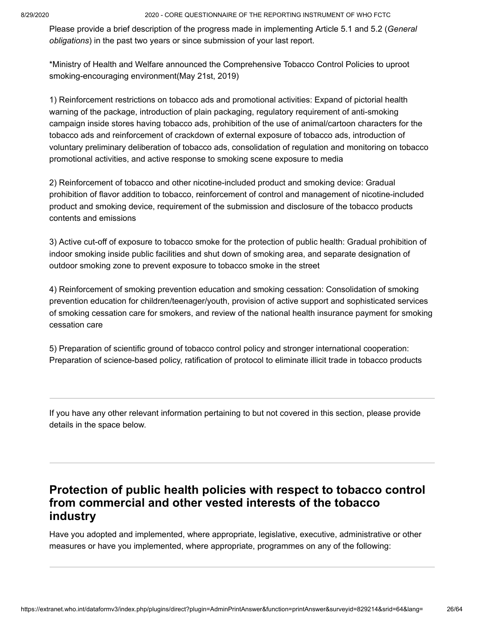Please provide a brief description of the progress made in implementing Article 5.1 and 5.2 ( *General* obligations) in the past two years or since submission of your last report.

\*Ministry of Health and Welfare announced the Comprehensive Tobacco Control Policies to uproot smoking-encouraging environment(May 21st, 2019)

1) Reinforcement restrictions on tobacco ads and promotional activities: Expand of pictorial health warning of the package, introduction of plain packaging, regulatory requirement of anti-smoking campaign inside stores having tobacco ads, prohibition of the use of animal/cartoon characters for the tobacco ads and reinforcement of crackdown of external exposure of tobacco ads, introduction of voluntary preliminary deliberation of tobacco ads, consolidation of regulation and monitoring on tobacco promotional activities, and active response to smoking scene exposure to media

2) Reinforcement of tobacco and other nicotine-included product and smoking device: Gradual prohibition of flavor addition to tobacco, reinforcement of control and management of nicotine-included product and smoking device, requirement of the submission and disclosure of the tobacco products contents and emissions

3) Active cut-off of exposure to tobacco smoke for the protection of public health: Gradual prohibition of indoor smoking inside public facilities and shut down of smoking area, and separate designation of outdoor smoking zone to prevent exposure to tobacco smoke in the street

4) Reinforcement of smoking prevention education and smoking cessation: Consolidation of smoking prevention education for children/teenager/youth, provision of active support and sophisticated services of smoking cessation care for smokers, and review of the national health insurance payment for smoking cessation care

5) Preparation of scientific ground of tobacco control policy and stronger international cooperation: Preparation of science-based policy, ratification of protocol to eliminate illicit trade in tobacco products

If you have any other relevant information pertaining to but not covered in this section, please provide details in the space below.

### **Protection of public health policies with respect to tobacco control from commercial and other vested interests of the tobacco industry**

Have you adopted and implemented, where appropriate, legislative, executive, administrative or other measures or have you implemented, where appropriate, programmes on any of the following: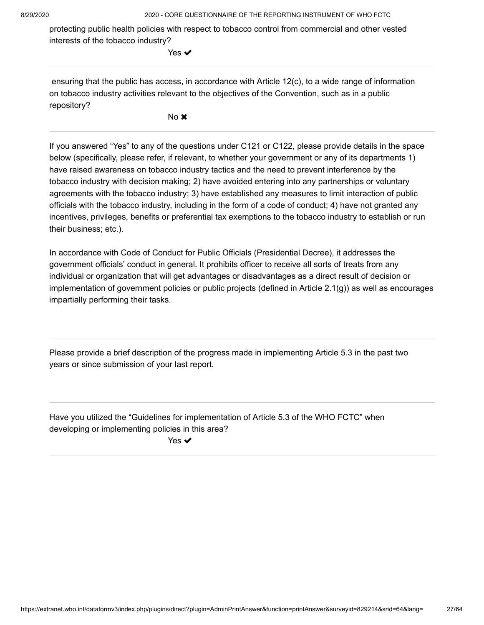protecting public health policies with respect to tobacco control from commercial and other vested interests of the tobacco industry?

Yes **✓** 

 ensuring that the public has access, in accordance with Article 12(c), to a wide range of information on tobacco industry activities relevant to the objectives of the Convention, such as in a public repository?

No **x** 

If you answered "Yes" to any of the questions under C121 or C122, please provide details in the space below (specifically, please refer, if relevant, to whether your government or any of its departments 1) have raised awareness on tobacco industry tactics and the need to prevent interference by the tobacco industry with decision making; 2) have avoided entering into any partnerships or voluntary agreements with the tobacco industry; 3) have established any measures to limit interaction of public officials with the tobacco industry, including in the form of a code of conduct; 4) have not granted any incentives, privileges, benefits or preferential tax exemptions to the tobacco industry to establish or run their business; etc.).

In accordance with Code of Conduct for Public Officials (Presidential Decree), it addresses the government officials' conduct in general. It prohibits officer to receive all sorts of treats from any individual or organization that will get advantages or disadvantages as a direct result of decision or implementation of government policies or public projects (defined in Article 2.1(g)) as well as encourages impartially performing their tasks.

Please provide a brief description of the progress made in implementing Article 5.3 in the past two years or since submission of your last report.

Have you utilized the "Guidelines for implementation of Article 5.3 of the WHO FCTC" when developing or implementing policies in this area?

Yes  $\blacktriangledown$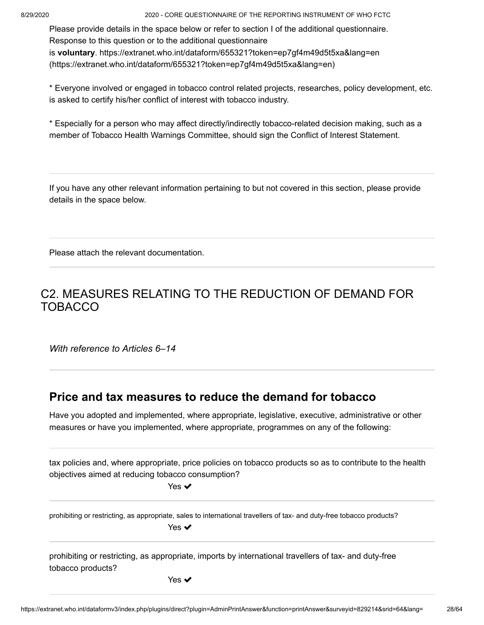Please provide details in the space below or refer to section I of the additional questionnaire. Response to this question or to the additional questionnaire is **voluntary**. https://extranet.who.int/dataform/655321?token=ep7gf4m49d5t5xa&lang=en [\(https://extranet.who.int/dataform/655321?token=ep7gf4m49d5t5xa&lang=en\)](https://extranet.who.int/dataform/655321?token=ep7gf4m49d5t5xa&lang=en)

\* Everyone involved or engaged in tobacco control related projects, researches, policy development, etc. is asked to certify his/her conflict of interest with tobacco industry.

\* Especially for a person who may affect directly/indirectly tobacco-related decision making, such as a member of Tobacco Health Warnings Committee, should sign the Conflict of Interest Statement.

If you have any other relevant information pertaining to but not covered in this section, please provide details in the space below.

Please attach the relevant documentation.

## C2. MEASURES RELATING TO THE REDUCTION OF DEMAND FOR TOBACCO

*With reference to Articles 6–14*

### **Price and tax measures to reduce the demand for tobacco**

Have you adopted and implemented, where appropriate, legislative, executive, administrative or other measures or have you implemented, where appropriate, programmes on any of the following:

tax policies and, where appropriate, price policies on tobacco products so as to contribute to the health objectives aimed at reducing tobacco consumption?

Yes ✔

prohibiting or restricting, as appropriate, sales to international travellers of tax- and duty-free tobacco products? Yes  $\blacktriangledown$ 

prohibiting or restricting, as appropriate, imports by international travellers of tax- and duty-free tobacco products?

Yes ✔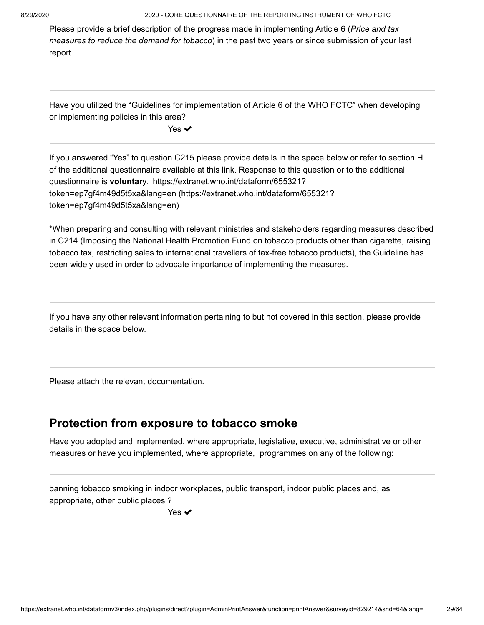Please provide a brief description of the progress made in implementing Article 6 ( *Price and tax measures to reduce the demand for tobacco*) in the past two years or since submission of your last report.

Have you utilized the "Guidelines for implementation of Article 6 of the WHO FCTC" when developing or implementing policies in this area?

Yes ✔

If you answered "Yes" to question C215 please provide details in the space below or refer to section H of the additional questionnaire available at this link. Response to this question or to the additional questionnaire is **voluntar**y. https://extranet.who.int/dataform/655321? [token=ep7gf4m49d5t5xa&lang=en \(https://extranet.who.int/dataform/655321?](https://extranet.who.int/dataform/655321?token=ep7gf4m49d5t5xa&lang=en) token=ep7gf4m49d5t5xa&lang=en)

\*When preparing and consulting with relevant ministries and stakeholders regarding measures described in C214 (Imposing the National Health Promotion Fund on tobacco products other than cigarette, raising tobacco tax, restricting sales to international travellers of tax-free tobacco products), the Guideline has been widely used in order to advocate importance of implementing the measures.

If you have any other relevant information pertaining to but not covered in this section, please provide details in the space below.

Please attach the relevant documentation.

### **Protection from exposure to tobacco smoke**

Have you adopted and implemented, where appropriate, legislative, executive, administrative or other measures or have you implemented, where appropriate, programmes on any of the following:

banning tobacco smoking in indoor workplaces, public transport, indoor public places and, as appropriate, other public places ?

Yes ✔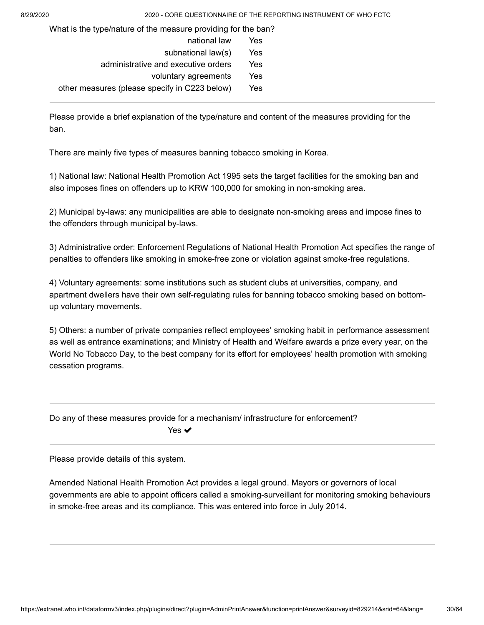What is the type/nature of the measure providing for the ban?

| national law                                  | Yes |
|-----------------------------------------------|-----|
| subnational law(s)                            | Yes |
| administrative and executive orders           | Yes |
| voluntary agreements                          | Yes |
| other measures (please specify in C223 below) | Yes |

Please provide a brief explanation of the type/nature and content of the measures providing for the ban.

There are mainly five types of measures banning tobacco smoking in Korea.

1) National law: National Health Promotion Act 1995 sets the target facilities for the smoking ban and also imposes fines on offenders up to KRW 100,000 for smoking in non-smoking area.

2) Municipal by-laws: any municipalities are able to designate non-smoking areas and impose fines to the offenders through municipal by-laws.

3) Administrative order: Enforcement Regulations of National Health Promotion Act specifies the range of penalties to offenders like smoking in smoke-free zone or violation against smoke-free regulations.

4) Voluntary agreements: some institutions such as student clubs at universities, company, and apartment dwellers have their own self-regulating rules for banning tobacco smoking based on bottomup voluntary movements.

5) Others: a number of private companies reflect employees' smoking habit in performance assessment as well as entrance examinations; and Ministry of Health and Welfare awards a prize every year, on the World No Tobacco Day, to the best company for its effort for employees' health promotion with smoking cessation programs.

Do any of these measures provide for a mechanism/ infrastructure for enforcement? Yes  $\blacktriangledown$ 

Please provide details of this system.

Amended National Health Promotion Act provides a legal ground. Mayors or governors of local governments are able to appoint officers called a smoking-surveillant for monitoring smoking behaviours in smoke-free areas and its compliance. This was entered into force in July 2014.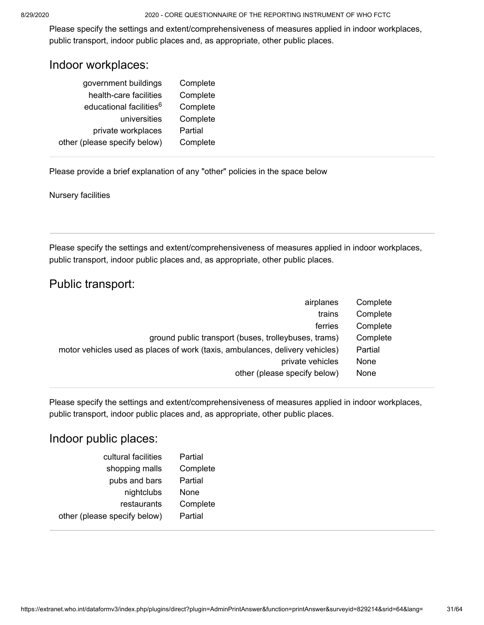Please specify the settings and extent/comprehensiveness of measures applied in indoor workplaces, public transport, indoor public places and, as appropriate, other public places.

### Indoor workplaces:

| government buildings                | Complete |
|-------------------------------------|----------|
| health-care facilities              | Complete |
| educational facilities <sup>6</sup> | Complete |
| universities                        | Complete |
| private workplaces                  | Partial  |
| other (please specify below)        | Complete |
|                                     |          |

Please provide a brief explanation of any "other" policies in the space below

Nursery facilities

Please specify the settings and extent/comprehensiveness of measures applied in indoor workplaces, public transport, indoor public places and, as appropriate, other public places.

### Public transport:

| airplanes                                                                    | Complete |
|------------------------------------------------------------------------------|----------|
| trains                                                                       | Complete |
| ferries                                                                      | Complete |
| ground public transport (buses, trolleybuses, trams)                         | Complete |
| motor vehicles used as places of work (taxis, ambulances, delivery vehicles) | Partial  |
| private vehicles                                                             | None     |
| other (please specify below)                                                 | None     |

Please specify the settings and extent/comprehensiveness of measures applied in indoor workplaces, public transport, indoor public places and, as appropriate, other public places.

### Indoor public places:

| cultural facilities          | Partial  |
|------------------------------|----------|
| shopping malls               | Complete |
| pubs and bars                | Partial  |
| nightclubs                   | None     |
| restaurants                  | Complete |
| other (please specify below) | Partial  |
|                              |          |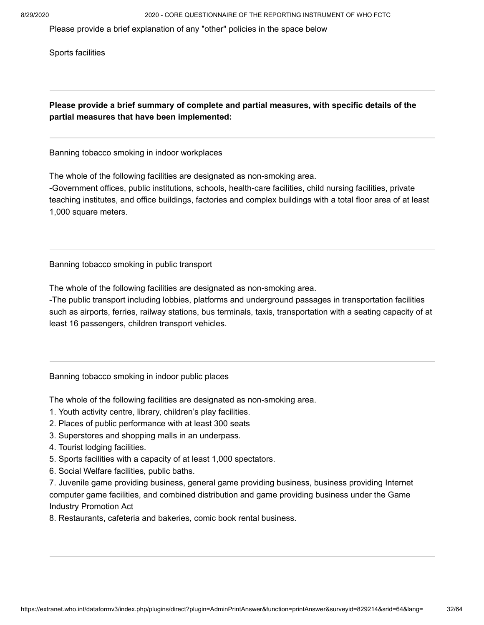Please provide a brief explanation of any "other" policies in the space below

Sports facilities

**Please provide a brief summary of complete and partial measures, with specific details of the partial measures that have been implemented:**

Banning tobacco smoking in indoor workplaces

The whole of the following facilities are designated as non-smoking area.

-Government offices, public institutions, schools, health-care facilities, child nursing facilities, private teaching institutes, and office buildings, factories and complex buildings with a total floor area of at least 1,000 square meters.

Banning tobacco smoking in public transport

The whole of the following facilities are designated as non-smoking area.

-The public transport including lobbies, platforms and underground passages in transportation facilities such as airports, ferries, railway stations, bus terminals, taxis, transportation with a seating capacity of at least 16 passengers, children transport vehicles.

Banning tobacco smoking in indoor public places

The whole of the following facilities are designated as non-smoking area.

- 1. Youth activity centre, library, children's play facilities.
- 2. Places of public performance with at least 300 seats
- 3. Superstores and shopping malls in an underpass.
- 4. Tourist lodging facilities.
- 5. Sports facilities with a capacity of at least 1,000 spectators.
- 6. Social Welfare facilities, public baths.

7. Juvenile game providing business, general game providing business, business providing Internet computer game facilities, and combined distribution and game providing business under the Game Industry Promotion Act

8. Restaurants, cafeteria and bakeries, comic book rental business.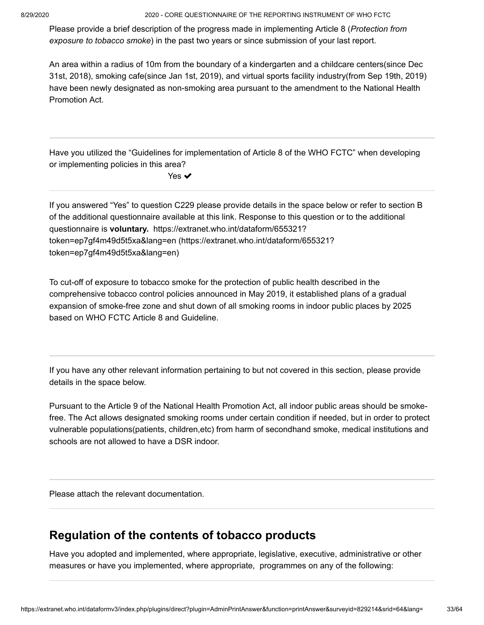Please provide a brief description of the progress made in implementing Article 8 ( *Protection from* exposure to tobacco smoke) in the past two years or since submission of your last report.

An area within a radius of 10m from the boundary of a kindergarten and a childcare centers(since Dec 31st, 2018), smoking cafe(since Jan 1st, 2019), and virtual sports facility industry(from Sep 19th, 2019) have been newly designated as non-smoking area pursuant to the amendment to the National Health Promotion Act.

Have you utilized the "Guidelines for implementation of Article 8 of the WHO FCTC" when developing or implementing policies in this area?

Yes  $\blacktriangledown$ 

If you answered "Yes" to question C229 please provide details in the space below or refer to section B of the additional questionnaire available at this link. Response to this question or to the additional questionnaire is **voluntary.** https://extranet.who.int/dataform/655321? [token=ep7gf4m49d5t5xa&lang=en \(https://extranet.who.int/dataform/655321?](https://extranet.who.int/dataform/655321?token=ep7gf4m49d5t5xa&lang=en) token=ep7gf4m49d5t5xa&lang=en)

To cut-off of exposure to tobacco smoke for the protection of public health described in the comprehensive tobacco control policies announced in May 2019, it established plans of a gradual expansion of smoke-free zone and shut down of all smoking rooms in indoor public places by 2025 based on WHO FCTC Article 8 and Guideline.

If you have any other relevant information pertaining to but not covered in this section, please provide details in the space below.

Pursuant to the Article 9 of the National Health Promotion Act, all indoor public areas should be smokefree. The Act allows designated smoking rooms under certain condition if needed, but in order to protect vulnerable populations(patients, children,etc) from harm of secondhand smoke, medical institutions and schools are not allowed to have a DSR indoor.

Please attach the relevant documentation.

### **Regulation of the contents of tobacco products**

Have you adopted and implemented, where appropriate, legislative, executive, administrative or other measures or have you implemented, where appropriate, programmes on any of the following: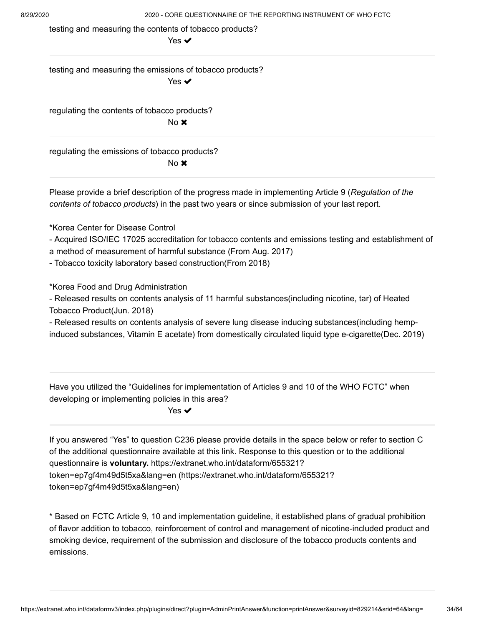testing and measuring the contents of tobacco products?

Yes ✔

testing and measuring the emissions of tobacco products?

Yes ✔

regulating the contents of tobacco products? No **x** 

regulating the emissions of tobacco products? No $\bm{x}$ 

Please provide a brief description of the progress made in implementing Article 9 ( *Regulation of the contents of tobacco products*) in the past two years or since submission of your last report.

\*Korea Center for Disease Control

- Acquired ISO/IEC 17025 accreditation for tobacco contents and emissions testing and establishment of a method of measurement of harmful substance (From Aug. 2017)

- Tobacco toxicity laboratory based construction(From 2018)

\*Korea Food and Drug Administration

- Released results on contents analysis of 11 harmful substances(including nicotine, tar) of Heated Tobacco Product(Jun. 2018)

- Released results on contents analysis of severe lung disease inducing substances(including hempinduced substances, Vitamin E acetate) from domestically circulated liquid type e-cigarette(Dec. 2019)

Have you utilized the "Guidelines for implementation of Articles 9 and 10 of the WHO FCTC" when developing or implementing policies in this area?

Yes  $\blacktriangledown$ 

If you answered "Yes" to question C236 please provide details in the space below or refer to section C of the additional questionnaire available at this link. Response to this question or to the additional questionnaire is **voluntary.** https://extranet.who.int/dataform/655321? [token=ep7gf4m49d5t5xa&lang=en \(https://extranet.who.int/dataform/655321?](https://extranet.who.int/dataform/655321?token=ep7gf4m49d5t5xa&lang=en) token=ep7gf4m49d5t5xa&lang=en)

\* Based on FCTC Article 9, 10 and implementation guideline, it established plans of gradual prohibition of flavor addition to tobacco, reinforcement of control and management of nicotine-included product and smoking device, requirement of the submission and disclosure of the tobacco products contents and emissions.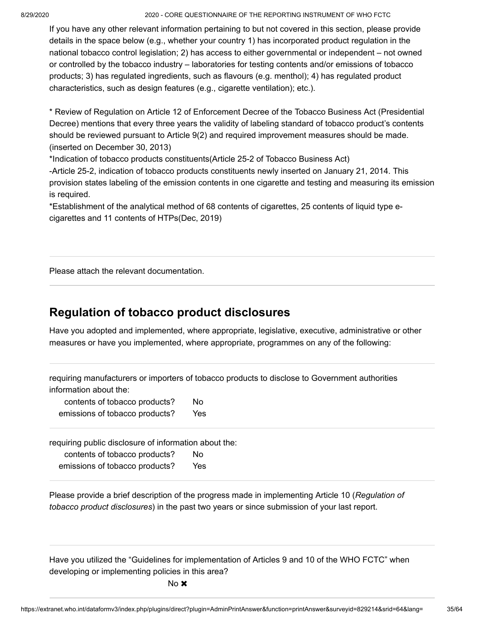If you have any other relevant information pertaining to but not covered in this section, please provide details in the space below (e.g., whether your country 1) has incorporated product regulation in the national tobacco control legislation; 2) has access to either governmental or independent – not owned or controlled by the tobacco industry – laboratories for testing contents and/or emissions of tobacco products; 3) has regulated ingredients, such as flavours (e.g. menthol); 4) has regulated product characteristics, such as design features (e.g., cigarette ventilation); etc.).

\* Review of Regulation on Article 12 of Enforcement Decree of the Tobacco Business Act (Presidential Decree) mentions that every three years the validity of labeling standard of tobacco product's contents should be reviewed pursuant to Article 9(2) and required improvement measures should be made. (inserted on December 30, 2013)

\*Indication of tobacco products constituents(Article 25-2 of Tobacco Business Act)

-Article 25-2, indication of tobacco products constituents newly inserted on January 21, 2014. This provision states labeling of the emission contents in one cigarette and testing and measuring its emission is required.

\*Establishment of the analytical method of 68 contents of cigarettes, 25 contents of liquid type ecigarettes and 11 contents of HTPs(Dec, 2019)

Please attach the relevant documentation.

## **Regulation of tobacco product disclosures**

Have you adopted and implemented, where appropriate, legislative, executive, administrative or other measures or have you implemented, where appropriate, programmes on any of the following:

requiring manufacturers or importers of tobacco products to disclose to Government authorities information about the:

contents of tobacco products? No emissions of tobacco products? Yes

requiring public disclosure of information about the:

| contents of tobacco products?  | No  |
|--------------------------------|-----|
| emissions of tobacco products? | Yes |

Please provide a brief description of the progress made in implementing Article 10 ( *Regulation of tobacco product disclosures*) in the past two years or since submission of your last report.

Have you utilized the "Guidelines for implementation of Articles 9 and 10 of the WHO FCTC" when developing or implementing policies in this area?

 $No \times$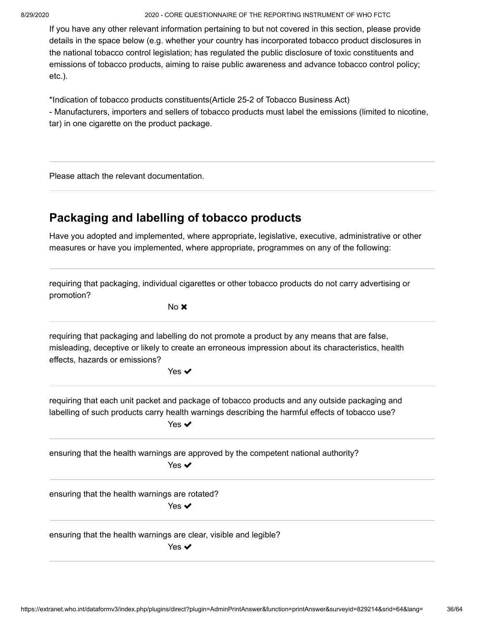If you have any other relevant information pertaining to but not covered in this section, please provide details in the space below (e.g. whether your country has incorporated tobacco product disclosures in the national tobacco control legislation; has regulated the public disclosure of toxic constituents and emissions of tobacco products, aiming to raise public awareness and advance tobacco control policy; etc.).

\*Indication of tobacco products constituents(Article 25-2 of Tobacco Business Act) - Manufacturers, importers and sellers of tobacco products must label the emissions (limited to nicotine, tar) in one cigarette on the product package.

Please attach the relevant documentation.

## **Packaging and labelling of tobacco products**

Have you adopted and implemented, where appropriate, legislative, executive, administrative or other measures or have you implemented, where appropriate, programmes on any of the following:

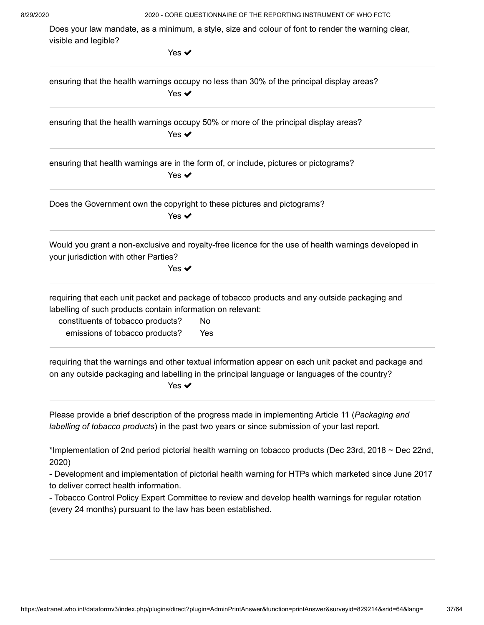Does your law mandate, as a minimum, a style, size and colour of font to render the warning clear, visible and legible?

| Yes $\blacktriangledown$                                                                                                                                                                                                                         |
|--------------------------------------------------------------------------------------------------------------------------------------------------------------------------------------------------------------------------------------------------|
| ensuring that the health warnings occupy no less than 30% of the principal display areas?<br>Yes $\blacktriangledown$                                                                                                                            |
| ensuring that the health warnings occupy 50% or more of the principal display areas?<br>Yes $\blacktriangledown$                                                                                                                                 |
| ensuring that health warnings are in the form of, or include, pictures or pictograms?<br>Yes $\blacktriangledown$                                                                                                                                |
| Does the Government own the copyright to these pictures and pictograms?<br>Yes $\checkmark$                                                                                                                                                      |
| Would you grant a non-exclusive and royalty-free licence for the use of health warnings developed in<br>your jurisdiction with other Parties?<br>Yes $\blacktriangledown$                                                                        |
| requiring that each unit packet and package of tobacco products and any outside packaging and<br>labelling of such products contain information on relevant:<br>constituents of tobacco products?<br>No<br>emissions of tobacco products?<br>Yes |
| requiring that the warnings and other textual information appear on each unit packet and package and<br>on any outside packaging and labelling in the principal language or languages of the country?<br>Yes $\blacktriangledown$                |
| Please provide a brief description of the progress made in implementing Article 11 (Packaging and<br>labelling of tobacco products) in the past two years or since submission of your last report.                                               |
| *Implementation of 2nd period pictorial health warning on tobacco products (Dec 23rd, 2018 ~ Dec 22nd,<br>2020)                                                                                                                                  |
| - Development and implementation of pictorial health warning for HTPs which marketed since June 2017<br>to deliver correct health information.                                                                                                   |
| - Tobacco Control Policy Expert Committee to review and develop health warnings for regular rotation<br>(every 24 months) pursuant to the law has been established.                                                                              |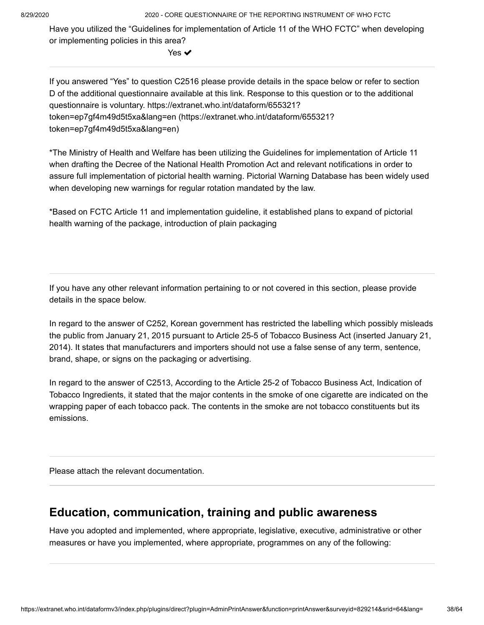Have you utilized the "Guidelines for implementation of Article 11 of the WHO FCTC" when developing or implementing policies in this area?

Yes ✔

If you answered "Yes" to question C2516 please provide details in the space below or refer to section D of the additional questionnaire available at this link. Response to this question or to the additional questionnaire is voluntary. https://extranet.who.int/dataform/655321? [token=ep7gf4m49d5t5xa&lang=en \(https://extranet.who.int/dataform/655321?](https://extranet.who.int/dataform/655321?token=ep7gf4m49d5t5xa&lang=en) token=ep7gf4m49d5t5xa&lang=en)

\*The Ministry of Health and Welfare has been utilizing the Guidelines for implementation of Article 11 when drafting the Decree of the National Health Promotion Act and relevant notifications in order to assure full implementation of pictorial health warning. Pictorial Warning Database has been widely used when developing new warnings for regular rotation mandated by the law.

\*Based on FCTC Article 11 and implementation guideline, it established plans to expand of pictorial health warning of the package, introduction of plain packaging

If you have any other relevant information pertaining to or not covered in this section, please provide details in the space below.

In regard to the answer of C252, Korean government has restricted the labelling which possibly misleads the public from January 21, 2015 pursuant to Article 25-5 of Tobacco Business Act (inserted January 21, 2014). It states that manufacturers and importers should not use a false sense of any term, sentence, brand, shape, or signs on the packaging or advertising.

In regard to the answer of C2513, According to the Article 25-2 of Tobacco Business Act, Indication of Tobacco Ingredients, it stated that the major contents in the smoke of one cigarette are indicated on the wrapping paper of each tobacco pack. The contents in the smoke are not tobacco constituents but its emissions.

Please attach the relevant documentation.

#### **Education, communication, training and public awareness**

Have you adopted and implemented, where appropriate, legislative, executive, administrative or other measures or have you implemented, where appropriate, programmes on any of the following: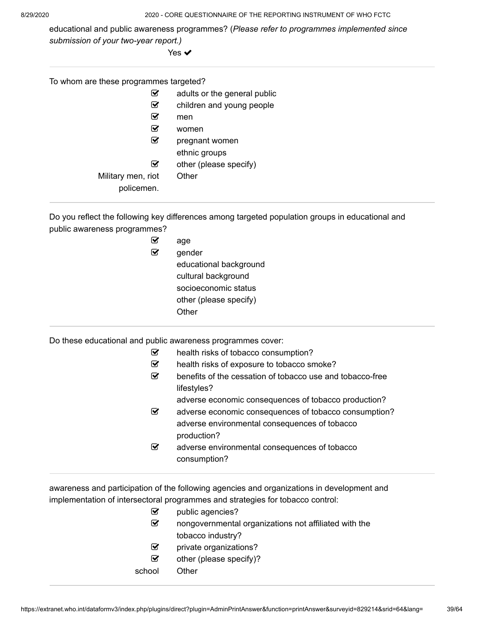educational and public awareness programmes? (*Please refer to programmes implemented since submission of your two-year report.)* 

Yes **✓** 

| To whom are these programmes targeted? |            |                              |  |
|----------------------------------------|------------|------------------------------|--|
|                                        | V          | adults or the general public |  |
|                                        | V          | children and young people    |  |
|                                        | V          | men                          |  |
|                                        | ☑          | women                        |  |
|                                        | ☑          | pregnant women               |  |
|                                        |            | ethnic groups                |  |
|                                        | ☑          | other (please specify)       |  |
| Military men, riot                     |            | Other                        |  |
|                                        | policemen. |                              |  |

Do you reflect the following key differences among targeted population groups in educational and public awareness programmes?

| age                    |
|------------------------|
| gender                 |
| educational background |
| cultural background    |
| socioeconomic status   |
| other (please specify) |
| ∩ther                  |
|                        |

Do these educational and public awareness programmes cover:

| ☞                       | health risks of tobacco consumption?                      |
|-------------------------|-----------------------------------------------------------|
| $\overline{\mathbf{v}}$ | health risks of exposure to tobacco smoke?                |
| ☞                       | benefits of the cessation of tobacco use and tobacco-free |
|                         | lifestyles?                                               |
|                         | adverse economic consequences of tobacco production?      |
|                         |                                                           |

- adverse economic consequences of tobacco consumption? adverse environmental consequences of tobacco production?
- adverse environmental consequences of tobacco consumption?

awareness and participation of the following agencies and organizations in development and implementation of intersectoral programmes and strategies for tobacco control:

| $\mathsf{M}$ | public agencies?                                      |  |
|--------------|-------------------------------------------------------|--|
| $\mathbf{v}$ | nongovernmental organizations not affiliated with the |  |
|              | tobacco industry?                                     |  |
| $\mathbf{w}$ | private organizations?                                |  |
| ☑            | other (please specify)?                               |  |
| school       | Other.                                                |  |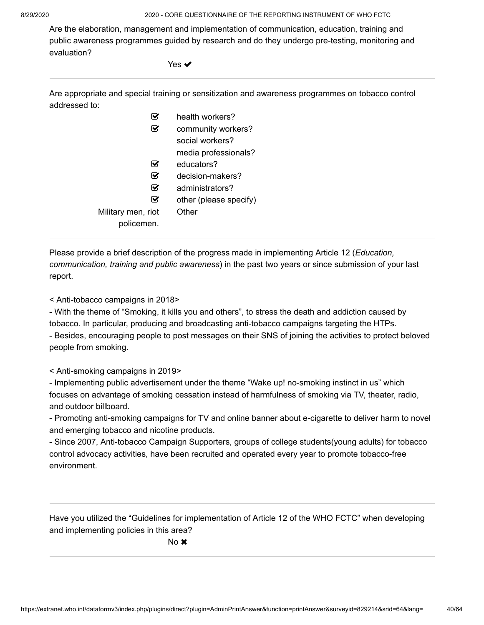Are the elaboration, management and implementation of communication, education, training and public awareness programmes guided by research and do they undergo pre-testing, monitoring and evaluation?

Yes ✔

Are appropriate and special training or sensitization and awareness programmes on tobacco control addressed to:

|                                  | health workers?        |
|----------------------------------|------------------------|
|                                  | community workers?     |
|                                  | social workers?        |
|                                  | media professionals?   |
| M                                | educators?             |
| ⋈                                | decision-makers?       |
| ⋈                                | administrators?        |
|                                  | other (please specify) |
| Military men, riot<br>policemen. | Other                  |
|                                  |                        |

Please provide a brief description of the progress made in implementing Article 12 ( *Education, communication, training and public awareness*) in the past two years or since submission of your last report.

< Anti-tobacco campaigns in 2018>

- With the theme of "Smoking, it kills you and others", to stress the death and addiction caused by tobacco. In particular, producing and broadcasting anti-tobacco campaigns targeting the HTPs. - Besides, encouraging people to post messages on their SNS of joining the activities to protect beloved people from smoking.

< Anti-smoking campaigns in 2019>

- Implementing public advertisement under the theme "Wake up! no-smoking instinct in us" which focuses on advantage of smoking cessation instead of harmfulness of smoking via TV, theater, radio, and outdoor billboard.

- Promoting anti-smoking campaigns for TV and online banner about e-cigarette to deliver harm to novel and emerging tobacco and nicotine products.

- Since 2007, Anti-tobacco Campaign Supporters, groups of college students(young adults) for tobacco control advocacy activities, have been recruited and operated every year to promote tobacco-free environment.

Have you utilized the "Guidelines for implementation of Article 12 of the WHO FCTC" when developing and implementing policies in this area?

No **x**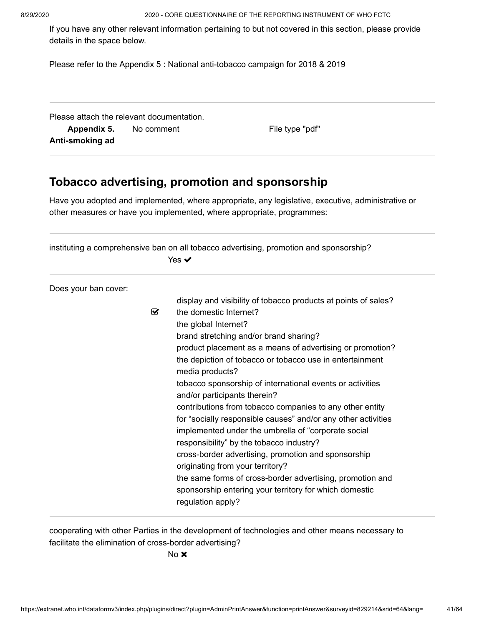If you have any other relevant information pertaining to but not covered in this section, please provide details in the space below.

Please refer to the Appendix 5 : National anti-tobacco campaign for 2018 & 2019

Please attach the relevant documentation. **Appendix 5. Anti-smoking ad** No comment The Comment Comment Comment Communication of the type "pdf"

### **Tobacco advertising, promotion and sponsorship**

Have you adopted and implemented, where appropriate, any legislative, executive, administrative or other measures or have you implemented, where appropriate, programmes:

| instituting a comprehensive ban on all tobacco advertising, promotion and sponsorship?<br>Yes $\blacktriangledown$ |                                                                |  |
|--------------------------------------------------------------------------------------------------------------------|----------------------------------------------------------------|--|
| Does your ban cover:                                                                                               |                                                                |  |
|                                                                                                                    | display and visibility of tobacco products at points of sales? |  |
| ☑                                                                                                                  | the domestic Internet?                                         |  |
|                                                                                                                    | the global Internet?                                           |  |
|                                                                                                                    | brand stretching and/or brand sharing?                         |  |
|                                                                                                                    | product placement as a means of advertising or promotion?      |  |
|                                                                                                                    | the depiction of tobacco or tobacco use in entertainment       |  |
|                                                                                                                    | media products?                                                |  |
|                                                                                                                    | tobacco sponsorship of international events or activities      |  |
|                                                                                                                    | and/or participants therein?                                   |  |
|                                                                                                                    | contributions from tobacco companies to any other entity       |  |
|                                                                                                                    | for "socially responsible causes" and/or any other activities  |  |
|                                                                                                                    | implemented under the umbrella of "corporate social            |  |
|                                                                                                                    | responsibility" by the tobacco industry?                       |  |
|                                                                                                                    | cross-border advertising, promotion and sponsorship            |  |
|                                                                                                                    | originating from your territory?                               |  |
|                                                                                                                    | the same forms of cross-border advertising, promotion and      |  |
|                                                                                                                    | sponsorship entering your territory for which domestic         |  |
|                                                                                                                    | regulation apply?                                              |  |

cooperating with other Parties in the development of technologies and other means necessary to facilitate the elimination of cross-border advertising?

No **x**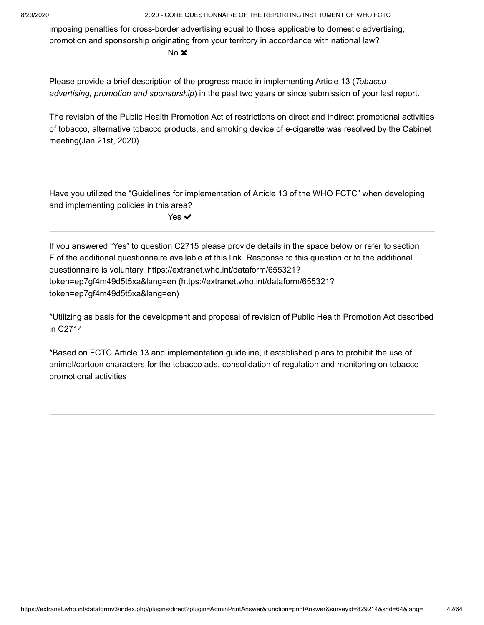imposing penalties for cross-border advertising equal to those applicable to domestic advertising, promotion and sponsorship originating from your territory in accordance with national law?

No **x** 

Please provide a brief description of the progress made in implementing Article 13 ( *Tobacco* advertising, promotion and sponsorship) in the past two years or since submission of your last report.

The revision of the Public Health Promotion Act of restrictions on direct and indirect promotional activities of tobacco, alternative tobacco products, and smoking device of e-cigarette was resolved by the Cabinet meeting(Jan 21st, 2020).

Have you utilized the "Guidelines for implementation of Article 13 of the WHO FCTC" when developing and implementing policies in this area?

Yes **✓** 

If you answered "Yes" to question C2715 please provide details in the space below or refer to section F of the additional questionnaire available at this link. Response to this question or to the additional questionnaire is voluntary. https://extranet.who.int/dataform/655321? [token=ep7gf4m49d5t5xa&lang=en \(https://extranet.who.int/dataform/655321?](https://extranet.who.int/dataform/655321?token=ep7gf4m49d5t5xa&lang=en) token=ep7gf4m49d5t5xa&lang=en)

\*Utilizing as basis for the development and proposal of revision of Public Health Promotion Act described in C2714

\*Based on FCTC Article 13 and implementation guideline, it established plans to prohibit the use of animal/cartoon characters for the tobacco ads, consolidation of regulation and monitoring on tobacco promotional activities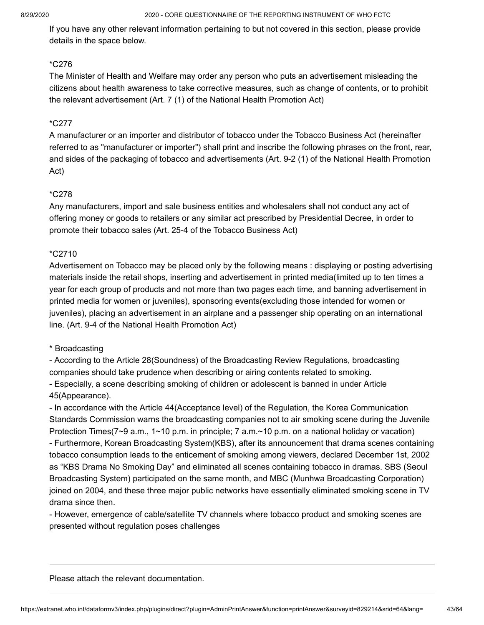If you have any other relevant information pertaining to but not covered in this section, please provide details in the space below.

#### \*C276

The Minister of Health and Welfare may order any person who puts an advertisement misleading the citizens about health awareness to take corrective measures, such as change of contents, or to prohibit the relevant advertisement (Art. 7 (1) of the National Health Promotion Act)

#### \*C277

A manufacturer or an importer and distributor of tobacco under the Tobacco Business Act (hereinafter referred to as "manufacturer or importer") shall print and inscribe the following phrases on the front, rear, and sides of the packaging of tobacco and advertisements (Art. 9-2 (1) of the National Health Promotion Act)

#### \*C278

Any manufacturers, import and sale business entities and wholesalers shall not conduct any act of offering money or goods to retailers or any similar act prescribed by Presidential Decree, in order to promote their tobacco sales (Art. 25-4 of the Tobacco Business Act)

#### \*C2710

Advertisement on Tobacco may be placed only by the following means : displaying or posting advertising materials inside the retail shops, inserting and advertisement in printed media(limited up to ten times a year for each group of products and not more than two pages each time, and banning advertisement in printed media for women or juveniles), sponsoring events(excluding those intended for women or juveniles), placing an advertisement in an airplane and a passenger ship operating on an international line. (Art. 9-4 of the National Health Promotion Act)

#### \* Broadcasting

- According to the Article 28(Soundness) of the Broadcasting Review Regulations, broadcasting companies should take prudence when describing or airing contents related to smoking.

- Especially, a scene describing smoking of children or adolescent is banned in under Article 45(Appearance).

- In accordance with the Article 44(Acceptance level) of the Regulation, the Korea Communication Standards Commission warns the broadcasting companies not to air smoking scene during the Juvenile Protection Times(7~9 a.m., 1~10 p.m. in principle; 7 a.m.~10 p.m. on a national holiday or vacation) - Furthermore, Korean Broadcasting System(KBS), after its announcement that drama scenes containing tobacco consumption leads to the enticement of smoking among viewers, declared December 1st, 2002 as "KBS Drama No Smoking Day" and eliminated all scenes containing tobacco in dramas. SBS (Seoul Broadcasting System) participated on the same month, and MBC (Munhwa Broadcasting Corporation) joined on 2004, and these three major public networks have essentially eliminated smoking scene in TV drama since then.

- However, emergence of cable/satellite TV channels where tobacco product and smoking scenes are presented without regulation poses challenges

Please attach the relevant documentation.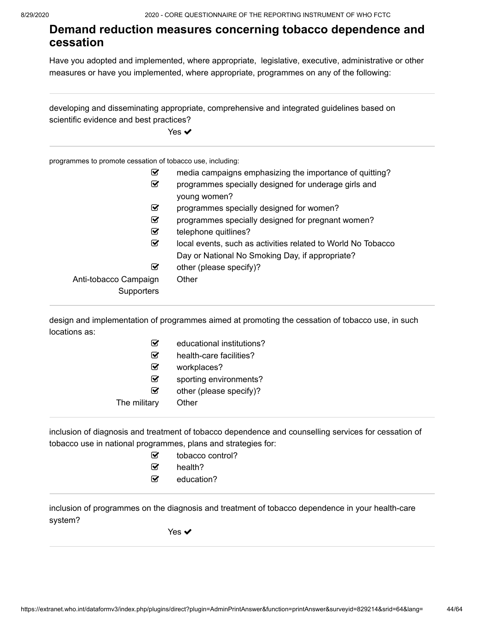#### **Demand reduction measures concerning tobacco dependence and cessation**

Have you adopted and implemented, where appropriate, legislative, executive, administrative or other measures or have you implemented, where appropriate, programmes on any of the following:

developing and disseminating appropriate, comprehensive and integrated guidelines based on scientific evidence and best practices?

Yes  $\blacktriangledown$ 

programmes to promote cessation of tobacco use, including:

| ☑                     | media campaigns emphasizing the importance of quitting?      |
|-----------------------|--------------------------------------------------------------|
| ☑                     | programmes specially designed for underage girls and         |
|                       | young women?                                                 |
| ☑                     | programmes specially designed for women?                     |
| ☑                     | programmes specially designed for pregnant women?            |
| ☑                     | telephone quitlines?                                         |
| ☑                     | local events, such as activities related to World No Tobacco |
|                       | Day or National No Smoking Day, if appropriate?              |
| ☑                     | other (please specify)?                                      |
| Anti-tobacco Campaign | Other                                                        |
| Supporters            |                                                              |
|                       |                                                              |

design and implementation of programmes aimed at promoting the cessation of tobacco use, in such locations as:

| ✔            | educational institutions? |
|--------------|---------------------------|
| ₩            | health-care facilities?   |
| ☞            | workplaces?               |
| ☞            | sporting environments?    |
| ☞            | other (please specify)?   |
| The military | Other                     |
|              |                           |

inclusion of diagnosis and treatment of tobacco dependence and counselling services for cessation of tobacco use in national programmes, plans and strategies for:

- tobacco control?
- $\mathcal{B}$  health?
- $\mathbf{\mathcal{C}}$  education?

inclusion of programmes on the diagnosis and treatment of tobacco dependence in your health-care system?

Yes ✔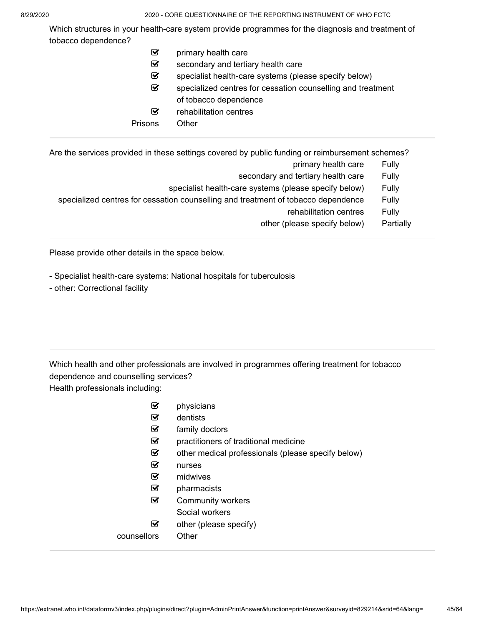Which structures in your health-care system provide programmes for the diagnosis and treatment of tobacco dependence?

- $\mathcal G$  primary health care
- $\mathcal{I}$  secondary and tertiary health care
- $\mathcal{F}$  specialist health-care systems (please specify below)
- $\mathcal{G}$  specialized centres for cessation counselling and treatment of tobacco dependence
- $\mathcal G$  rehabilitation centres
- Prisons Other

Are the services provided in these settings covered by public funding or reimbursement schemes?

- primary health care Fully
- secondary and tertiary health care Fully
- specialist health-care systems (please specify below) Fully
- specialized centres for cessation counselling and treatment of tobacco dependence Fully
	- rehabilitation centres Fully
	- other (please specify below) Partially

Please provide other details in the space below.

- Specialist health-care systems: National hospitals for tuberculosis
- other: Correctional facility

Which health and other professionals are involved in programmes offering treatment for tobacco dependence and counselling services? Health professionals including:

- $\triangleright$  physicians
- $\mathcal{G}$  dentists
- $\mathbf S$  family doctors
- $\mathcal{F}$  practitioners of traditional medicine
- $\triangleright$  other medical professionals (please specify below)
- nurses
- $\triangledown$  midwives
- $\mathbf{\mathcal{F}}$  pharmacists
- $\mathcal G$  Community workers
	- Social workers
- $\mathcal G$  other (please specify)

#### counsellors Other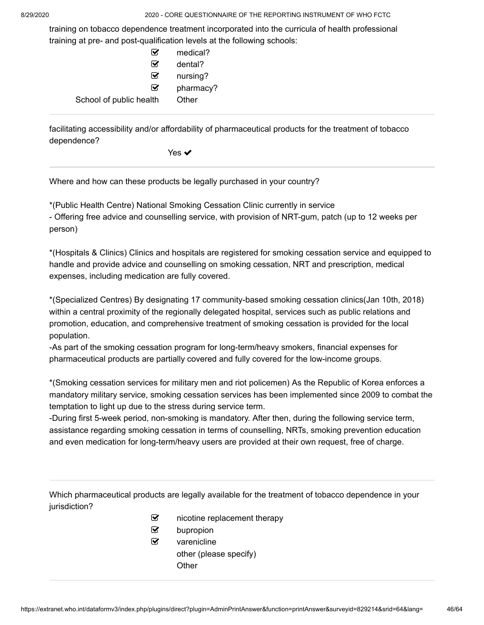training on tobacco dependence treatment incorporated into the curricula of health professional training at pre- and post-qualification levels at the following schools:

| $\mathbf{v}$            | medical?  |
|-------------------------|-----------|
| ⋈                       | dental?   |
| ⋈                       | nursing?  |
| ⋈                       | pharmacy? |
| School of public health | Other     |
|                         |           |

facilitating accessibility and/or affordability of pharmaceutical products for the treatment of tobacco dependence?

Yes ✔

Where and how can these products be legally purchased in your country?

\*(Public Health Centre) National Smoking Cessation Clinic currently in service

- Offering free advice and counselling service, with provision of NRT-gum, patch (up to 12 weeks per person)

\*(Hospitals & Clinics) Clinics and hospitals are registered for smoking cessation service and equipped to handle and provide advice and counselling on smoking cessation, NRT and prescription, medical expenses, including medication are fully covered.

\*(Specialized Centres) By designating 17 community-based smoking cessation clinics(Jan 10th, 2018) within a central proximity of the regionally delegated hospital, services such as public relations and promotion, education, and comprehensive treatment of smoking cessation is provided for the local population.

-As part of the smoking cessation program for long-term/heavy smokers, financial expenses for pharmaceutical products are partially covered and fully covered for the low-income groups.

\*(Smoking cessation services for military men and riot policemen) As the Republic of Korea enforces a mandatory military service, smoking cessation services has been implemented since 2009 to combat the temptation to light up due to the stress during service term.

-During first 5-week period, non-smoking is mandatory. After then, during the following service term, assistance regarding smoking cessation in terms of counselling, NRTs, smoking prevention education and even medication for long-term/heavy users are provided at their own request, free of charge.

Which pharmaceutical products are legally available for the treatment of tobacco dependence in your jurisdiction?

- $\mathcal G$  nicotine replacement therapy
- $\mathbf{\mathcal{D}}$  bupropion
- $\triangledown$  varenicline other (please specify) **Other**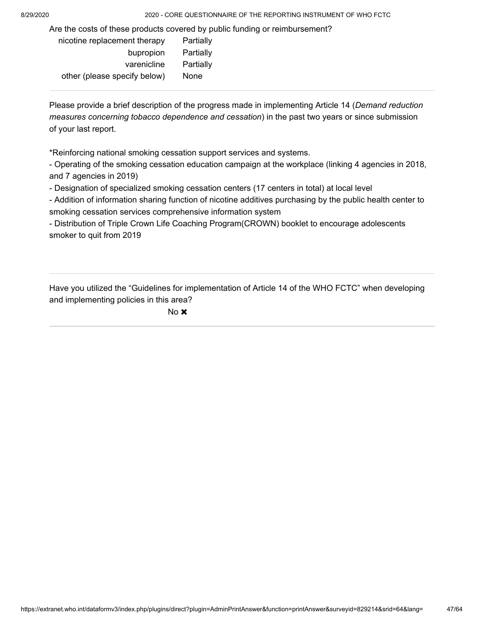Are the costs of these products covered by public funding or reimbursement?

| nicotine replacement therapy | Partially |
|------------------------------|-----------|
| bupropion                    | Partially |
| varenicline                  | Partially |
| other (please specify below) | None      |
|                              |           |

Please provide a brief description of the progress made in implementing Article 14 ( *Demand reduction* measures concerning tobacco dependence and cessation) in the past two years or since submission of your last report.

\*Reinforcing national smoking cessation support services and systems.

- Operating of the smoking cessation education campaign at the workplace (linking 4 agencies in 2018, and 7 agencies in 2019)

- Designation of specialized smoking cessation centers (17 centers in total) at local level

- Addition of information sharing function of nicotine additives purchasing by the public health center to smoking cessation services comprehensive information system

- Distribution of Triple Crown Life Coaching Program(CROWN) booklet to encourage adolescents smoker to quit from 2019

Have you utilized the "Guidelines for implementation of Article 14 of the WHO FCTC" when developing and implementing policies in this area?

No **x**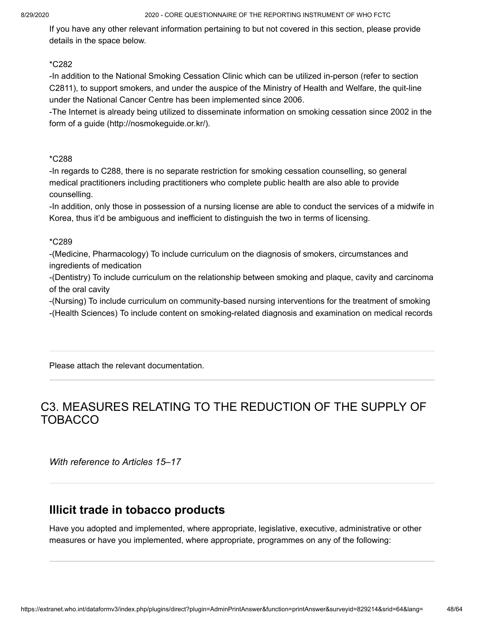If you have any other relevant information pertaining to but not covered in this section, please provide details in the space below.

#### \*C282

-In addition to the National Smoking Cessation Clinic which can be utilized in-person (refer to section C2811), to support smokers, and under the auspice of the Ministry of Health and Welfare, the quit-line under the National Cancer Centre has been implemented since 2006.

-The Internet is already being utilized to disseminate information on smoking cessation since 2002 in the form of a guide (http://nosmokeguide.or.kr/).

#### \*C288

-In regards to C288, there is no separate restriction for smoking cessation counselling, so general medical practitioners including practitioners who complete public health are also able to provide counselling.

-In addition, only those in possession of a nursing license are able to conduct the services of a midwife in Korea, thus it'd be ambiguous and inefficient to distinguish the two in terms of licensing.

#### \*C289

-(Medicine, Pharmacology) To include curriculum on the diagnosis of smokers, circumstances and ingredients of medication

-(Dentistry) To include curriculum on the relationship between smoking and plaque, cavity and carcinoma of the oral cavity

-(Nursing) To include curriculum on community-based nursing interventions for the treatment of smoking

-(Health Sciences) To include content on smoking-related diagnosis and examination on medical records

Please attach the relevant documentation.

## C3. MEASURES RELATING TO THE REDUCTION OF THE SUPPLY OF TOBACCO

*With reference to Articles 15–17*

### **Illicit trade in tobacco products**

Have you adopted and implemented, where appropriate, legislative, executive, administrative or other measures or have you implemented, where appropriate, programmes on any of the following: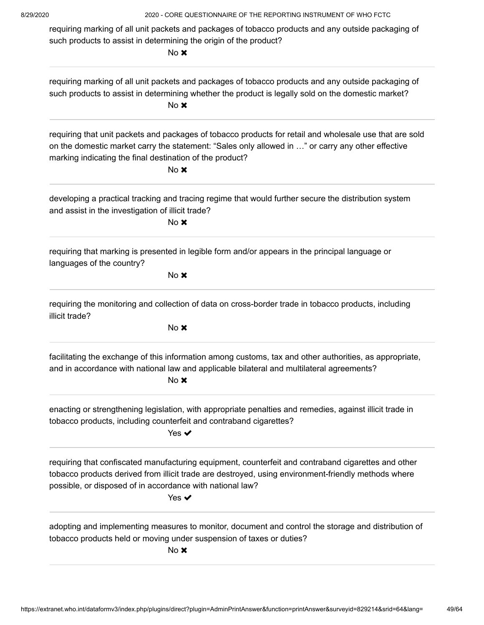requiring marking of all unit packets and packages of tobacco products and any outside packaging of such products to assist in determining the origin of the product?

No **x** 

| requiring marking of all unit packets and packages of tobacco products and any outside packaging of<br>such products to assist in determining whether the product is legally sold on the domestic market?<br>No <b>x</b>                                                                            |
|-----------------------------------------------------------------------------------------------------------------------------------------------------------------------------------------------------------------------------------------------------------------------------------------------------|
| requiring that unit packets and packages of tobacco products for retail and wholesale use that are sold<br>on the domestic market carry the statement: "Sales only allowed in " or carry any other effective<br>marking indicating the final destination of the product?<br>No <b>x</b>             |
| developing a practical tracking and tracing regime that would further secure the distribution system<br>and assist in the investigation of illicit trade?<br>No x                                                                                                                                   |
| requiring that marking is presented in legible form and/or appears in the principal language or<br>languages of the country?<br>No <b>x</b>                                                                                                                                                         |
| requiring the monitoring and collection of data on cross-border trade in tobacco products, including<br>illicit trade?<br>No x                                                                                                                                                                      |
| facilitating the exchange of this information among customs, tax and other authorities, as appropriate,<br>and in accordance with national law and applicable bilateral and multilateral agreements?<br>No x                                                                                        |
| enacting or strengthening legislation, with appropriate penalties and remedies, against illicit trade in<br>tobacco products, including counterfeit and contraband cigarettes?<br>Yes $\checkmark$                                                                                                  |
| requiring that confiscated manufacturing equipment, counterfeit and contraband cigarettes and other<br>tobacco products derived from illicit trade are destroyed, using environment-friendly methods where<br>possible, or disposed of in accordance with national law?<br>Yes $\blacktriangledown$ |
| adopting and implementing measures to monitor, document and control the storage and distribution of<br>tobacco products held or moving under suspension of taxes or duties?<br>No x                                                                                                                 |
|                                                                                                                                                                                                                                                                                                     |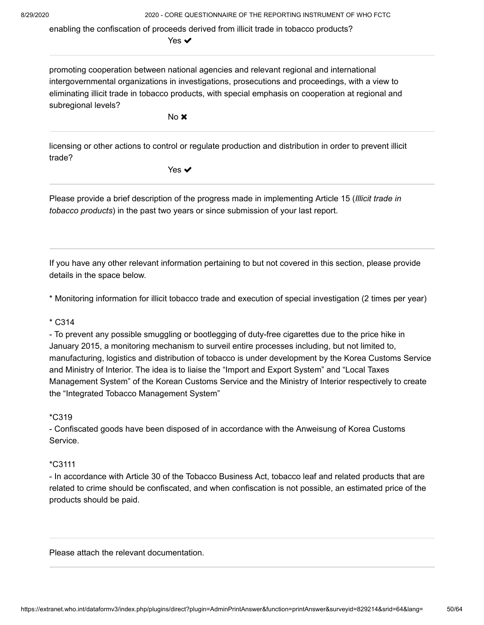enabling the confiscation of proceeds derived from illicit trade in tobacco products?

Yes ✔

promoting cooperation between national agencies and relevant regional and international intergovernmental organizations in investigations, prosecutions and proceedings, with a view to eliminating illicit trade in tobacco products, with special emphasis on cooperation at regional and subregional levels?

No **x** 

licensing or other actions to control or regulate production and distribution in order to prevent illicit trade?

Yes **✓** 

Please provide a brief description of the progress made in implementing Article 15 ( *Illicit trade in* tobacco products) in the past two years or since submission of your last report.

If you have any other relevant information pertaining to but not covered in this section, please provide details in the space below.

\* Monitoring information for illicit tobacco trade and execution of special investigation (2 times per year)

#### \* C314

- To prevent any possible smuggling or bootlegging of duty-free cigarettes due to the price hike in January 2015, a monitoring mechanism to surveil entire processes including, but not limited to, manufacturing, logistics and distribution of tobacco is under development by the Korea Customs Service and Ministry of Interior. The idea is to liaise the "Import and Export System" and "Local Taxes Management System" of the Korean Customs Service and the Ministry of Interior respectively to create the "Integrated Tobacco Management System"

\*C319

- Confiscated goods have been disposed of in accordance with the Anweisung of Korea Customs Service.

#### \*C3111

- In accordance with Article 30 of the Tobacco Business Act, tobacco leaf and related products that are related to crime should be confiscated, and when confiscation is not possible, an estimated price of the products should be paid.

Please attach the relevant documentation.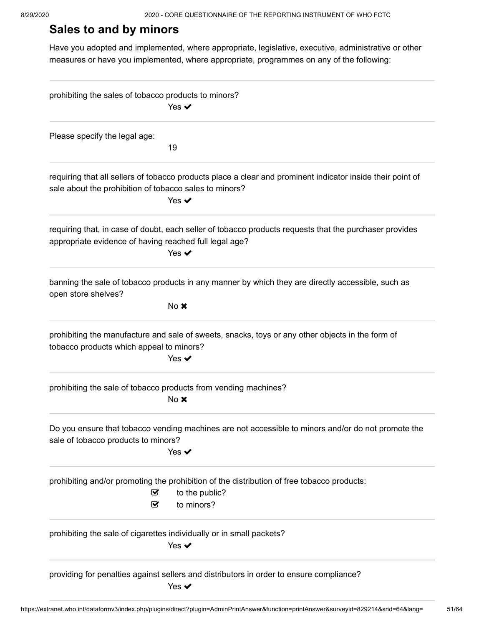## **Sales to and by minors**

Have you adopted and implemented, where appropriate, legislative, executive, administrative or other measures or have you implemented, where appropriate, programmes on any of the following:

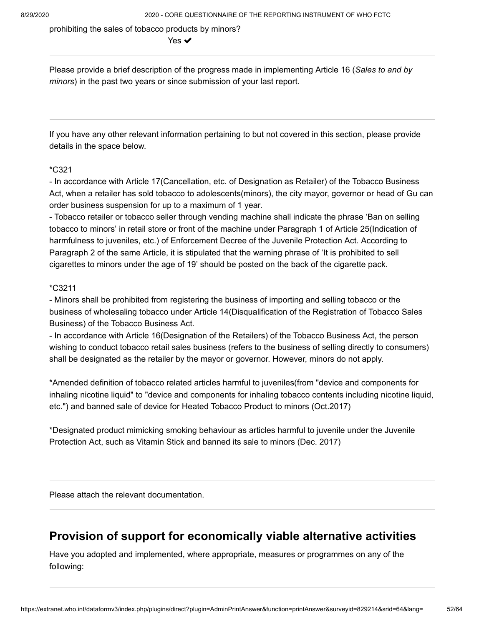prohibiting the sales of tobacco products by minors?

Yes ✔

Please provide a brief description of the progress made in implementing Article 16 ( *Sales to and by* minors) in the past two years or since submission of your last report.

If you have any other relevant information pertaining to but not covered in this section, please provide details in the space below.

#### \*C321

- In accordance with Article 17(Cancellation, etc. of Designation as Retailer) of the Tobacco Business Act, when a retailer has sold tobacco to adolescents(minors), the city mayor, governor or head of Gu can order business suspension for up to a maximum of 1 year.

- Tobacco retailer or tobacco seller through vending machine shall indicate the phrase 'Ban on selling tobacco to minors' in retail store or front of the machine under Paragraph 1 of Article 25(Indication of harmfulness to juveniles, etc.) of Enforcement Decree of the Juvenile Protection Act. According to Paragraph 2 of the same Article, it is stipulated that the warning phrase of 'It is prohibited to sell cigarettes to minors under the age of 19' should be posted on the back of the cigarette pack.

#### \*C3211

- Minors shall be prohibited from registering the business of importing and selling tobacco or the business of wholesaling tobacco under Article 14(Disqualification of the Registration of Tobacco Sales Business) of the Tobacco Business Act.

- In accordance with Article 16(Designation of the Retailers) of the Tobacco Business Act, the person wishing to conduct tobacco retail sales business (refers to the business of selling directly to consumers) shall be designated as the retailer by the mayor or governor. However, minors do not apply.

\*Amended definition of tobacco related articles harmful to juveniles(from "device and components for inhaling nicotine liquid" to "device and components for inhaling tobacco contents including nicotine liquid, etc.") and banned sale of device for Heated Tobacco Product to minors (Oct.2017)

\*Designated product mimicking smoking behaviour as articles harmful to juvenile under the Juvenile Protection Act, such as Vitamin Stick and banned its sale to minors (Dec. 2017)

Please attach the relevant documentation.

### **Provision of support for economically viable alternative activities**

Have you adopted and implemented, where appropriate, measures or programmes on any of the following: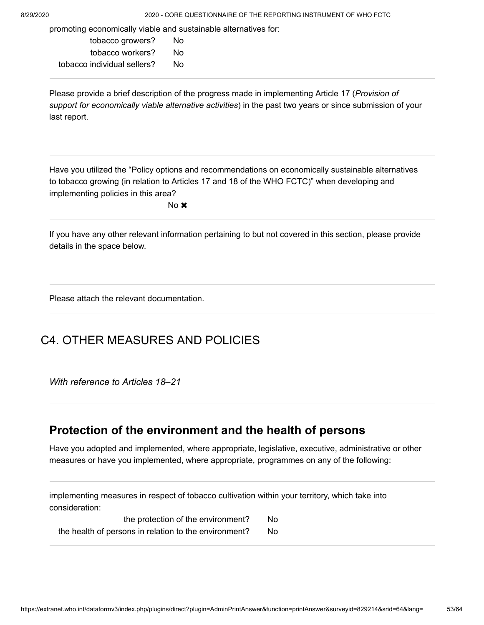promoting economically viable and sustainable alternatives for:

tobacco growers? No tobacco workers? No tobacco individual sellers? No

Please provide a brief description of the progress made in implementing Article 17 ( *Provision of* support for economically viable alternative activities) in the past two years or since submission of your last report.

Have you utilized the "Policy options and recommendations on economically sustainable alternatives to tobacco growing (in relation to Articles 17 and 18 of the WHO FCTC)" when developing and implementing policies in this area?

No **x** 

If you have any other relevant information pertaining to but not covered in this section, please provide details in the space below.

Please attach the relevant documentation.

## C4. OTHER MEASURES AND POLICIES

*With reference to Articles 18–21*

### **Protection of the environment and the health of persons**

Have you adopted and implemented, where appropriate, legislative, executive, administrative or other measures or have you implemented, where appropriate, programmes on any of the following:

implementing measures in respect of tobacco cultivation within your territory, which take into consideration:

the protection of the environment? No the health of persons in relation to the environment? No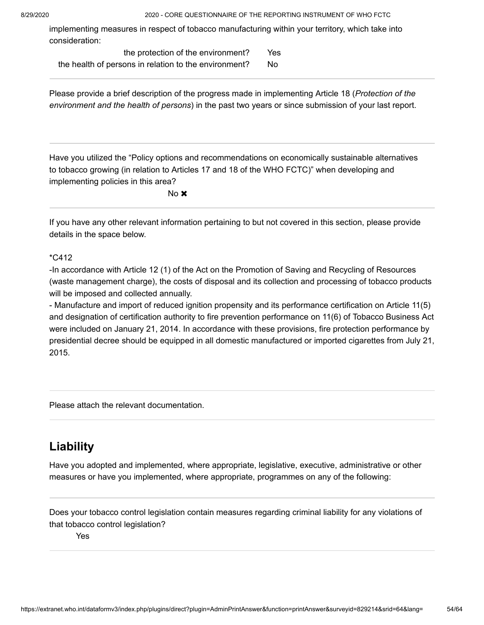implementing measures in respect of tobacco manufacturing within your territory, which take into consideration:

| the protection of the environment?                    | Yes |
|-------------------------------------------------------|-----|
| the health of persons in relation to the environment? | No. |

Please provide a brief description of the progress made in implementing Article 18 ( *Protection of the* environment and the health of persons) in the past two years or since submission of your last report.

Have you utilized the "Policy options and recommendations on economically sustainable alternatives to tobacco growing (in relation to Articles 17 and 18 of the WHO FCTC)" when developing and implementing policies in this area?

No **x** 

If you have any other relevant information pertaining to but not covered in this section, please provide details in the space below.

#### \*C412

-In accordance with Article 12 (1) of the Act on the Promotion of Saving and Recycling of Resources (waste management charge), the costs of disposal and its collection and processing of tobacco products will be imposed and collected annually.

- Manufacture and import of reduced ignition propensity and its performance certification on Article 11(5) and designation of certification authority to fire prevention performance on 11(6) of Tobacco Business Act were included on January 21, 2014. In accordance with these provisions, fire protection performance by presidential decree should be equipped in all domestic manufactured or imported cigarettes from July 21, 2015.

Please attach the relevant documentation.

## **Liability**

Have you adopted and implemented, where appropriate, legislative, executive, administrative or other measures or have you implemented, where appropriate, programmes on any of the following:

Does your tobacco control legislation contain measures regarding criminal liability for any violations of that tobacco control legislation?

Yes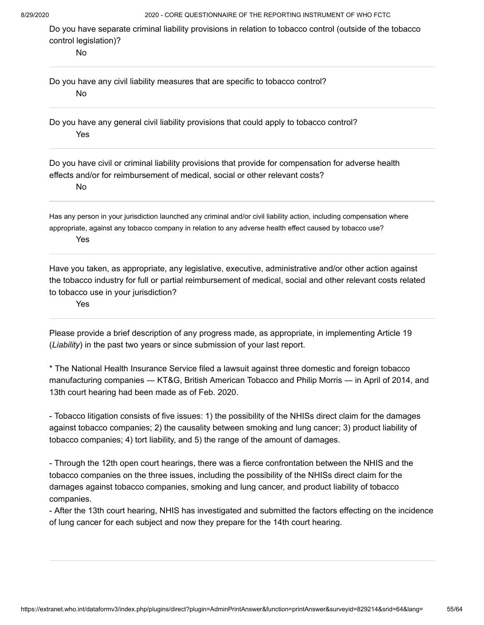Do you have separate criminal liability provisions in relation to tobacco control (outside of the tobacco control legislation)?

No

Do you have any civil liability measures that are specific to tobacco control? No

Do you have any general civil liability provisions that could apply to tobacco control? Yes

Do you have civil or criminal liability provisions that provide for compensation for adverse health effects and/or for reimbursement of medical, social or other relevant costs?

No

Has any person in your jurisdiction launched any criminal and/or civil liability action, including compensation where appropriate, against any tobacco company in relation to any adverse health effect caused by tobacco use? Yes

Have you taken, as appropriate, any legislative, executive, administrative and/or other action against the tobacco industry for full or partial reimbursement of medical, social and other relevant costs related to tobacco use in your jurisdiction?

Yes

Please provide a brief description of any progress made, as appropriate, in implementing Article 19 (*Liability*) in the past two years or since submission of your last report.

\* The National Health Insurance Service filed a lawsuit against three domestic and foreign tobacco manufacturing companies ― KT&G, British American Tobacco and Philip Morris ― in April of 2014, and 13th court hearing had been made as of Feb. 2020.

- Tobacco litigation consists of five issues: 1) the possibility of the NHISs direct claim for the damages against tobacco companies; 2) the causality between smoking and lung cancer; 3) product liability of tobacco companies; 4) tort liability, and 5) the range of the amount of damages.

- Through the 12th open court hearings, there was a fierce confrontation between the NHIS and the tobacco companies on the three issues, including the possibility of the NHISs direct claim for the damages against tobacco companies, smoking and lung cancer, and product liability of tobacco companies.

- After the 13th court hearing, NHIS has investigated and submitted the factors effecting on the incidence of lung cancer for each subject and now they prepare for the 14th court hearing.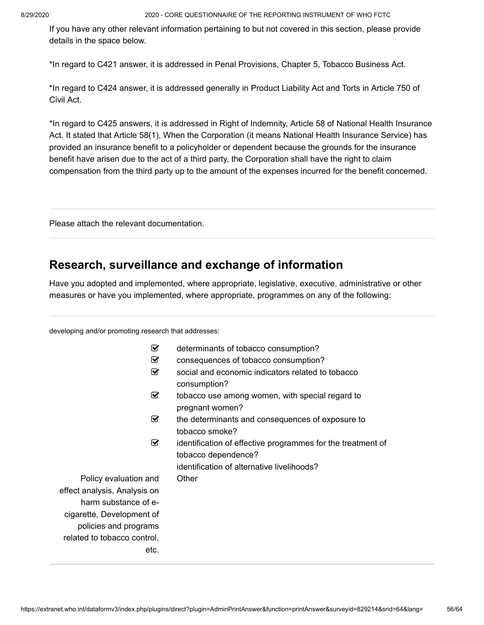If you have any other relevant information pertaining to but not covered in this section, please provide details in the space below.

\*In regard to C421 answer, it is addressed in Penal Provisions, Chapter 5, Tobacco Business Act.

\*In regard to C424 answer, it is addressed generally in Product Liability Act and Torts in Article 750 of Civil Act.

\*In regard to C425 answers, it is addressed in Right of Indemnity, Article 58 of National Health Insurance Act. It stated that Article 58(1), When the Corporation (it means National Health Insurance Service) has provided an insurance benefit to a policyholder or dependent because the grounds for the insurance benefit have arisen due to the act of a third party, the Corporation shall have the right to claim compensation from the third party up to the amount of the expenses incurred for the benefit concerned.

Please attach the relevant documentation.

### **Research, surveillance and exchange of information**

Have you adopted and implemented, where appropriate, legislative, executive, administrative or other measures or have you implemented, where appropriate, programmes on any of the following:

developing and/or promoting research that addresses:

| ☑                            | determinants of tobacco consumption?                        |
|------------------------------|-------------------------------------------------------------|
| ⊻                            | consequences of tobacco consumption?                        |
| ☑                            | social and economic indicators related to tobacco           |
|                              | consumption?                                                |
| ☑                            | tobacco use among women, with special regard to             |
|                              | pregnant women?                                             |
| ☑                            | the determinants and consequences of exposure to            |
|                              | tobacco smoke?                                              |
| ☑                            | identification of effective programmes for the treatment of |
|                              | tobacco dependence?                                         |
|                              | identification of alternative livelihoods?                  |
| Policy evaluation and        | Other                                                       |
| effect analysis, Analysis on |                                                             |
| harm substance of e-         |                                                             |
| cigarette, Development of    |                                                             |
| policies and programs        |                                                             |
| related to tobacco control,  |                                                             |
| etc.                         |                                                             |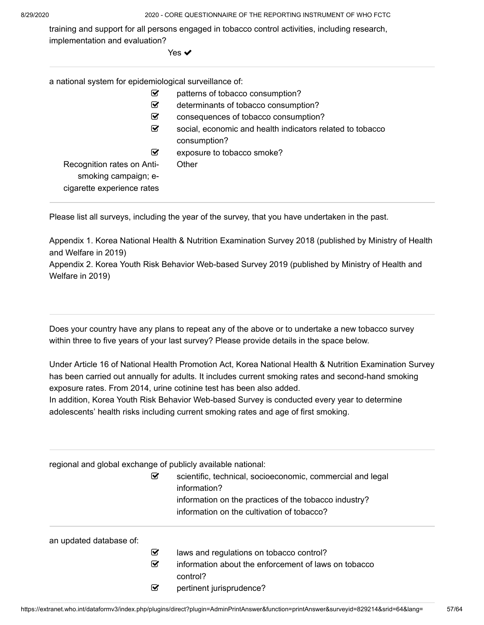training and support for all persons engaged in tobacco control activities, including research, implementation and evaluation?

Yes **✓** 

a national system for epidemiological surveillance of:

| ☑                                                                                | patterns of tobacco consumption?                                          |
|----------------------------------------------------------------------------------|---------------------------------------------------------------------------|
| ☑                                                                                | determinants of tobacco consumption?                                      |
| ☑                                                                                | consequences of tobacco consumption?                                      |
| ☑                                                                                | social, economic and health indicators related to tobacco<br>consumption? |
| ☑                                                                                | exposure to tobacco smoke?                                                |
| Recognition rates on Anti-<br>smoking campaign; e-<br>cigarette experience rates | Other                                                                     |

Please list all surveys, including the year of the survey, that you have undertaken in the past.

Appendix 1. Korea National Health & Nutrition Examination Survey 2018 (published by Ministry of Health and Welfare in 2019)

Appendix 2. Korea Youth Risk Behavior Web-based Survey 2019 (published by Ministry of Health and Welfare in 2019)

Does your country have any plans to repeat any of the above or to undertake a new tobacco survey within three to five years of your last survey? Please provide details in the space below.

Under Article 16 of National Health Promotion Act, Korea National Health & Nutrition Examination Survey has been carried out annually for adults. It includes current smoking rates and second-hand smoking exposure rates. From 2014, urine cotinine test has been also added.

In addition, Korea Youth Risk Behavior Web-based Survey is conducted every year to determine adolescents' health risks including current smoking rates and age of first smoking.

| regional and global exchange of publicly available national: |   |                                                                            |
|--------------------------------------------------------------|---|----------------------------------------------------------------------------|
|                                                              | ⊻ | scientific, technical, socioeconomic, commercial and legal<br>information? |
|                                                              |   | information on the practices of the tobacco industry?                      |
|                                                              |   | information on the cultivation of tobacco?                                 |
| an updated database of:                                      |   |                                                                            |
|                                                              | ☑ | laws and regulations on tobacco control?                                   |
|                                                              | ☑ | information about the enforcement of laws on tobacco                       |
|                                                              |   | control?                                                                   |
|                                                              | ☑ | pertinent jurisprudence?                                                   |
|                                                              |   |                                                                            |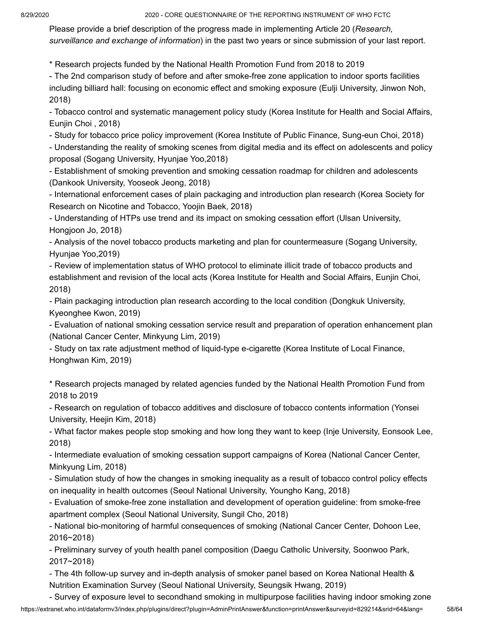Please provide a brief description of the progress made in implementing Article 20 ( *Research,* surveillance and exchange of information) in the past two years or since submission of your last report.

\* Research projects funded by the National Health Promotion Fund from 2018 to 2019

- The 2nd comparison study of before and after smoke-free zone application to indoor sports facilities including billiard hall: focusing on economic effect and smoking exposure (Eulji University, Jinwon Noh, 2018)

- Tobacco control and systematic management policy study (Korea Institute for Health and Social Affairs, Eunjin Choi , 2018)

- Study for tobacco price policy improvement (Korea Institute of Public Finance, Sung-eun Choi, 2018)

- Understanding the reality of smoking scenes from digital media and its effect on adolescents and policy proposal (Sogang University, Hyunjae Yoo,2018)

- Establishment of smoking prevention and smoking cessation roadmap for children and adolescents (Dankook University, Yooseok Jeong, 2018)

- International enforcement cases of plain packaging and introduction plan research (Korea Society for Research on Nicotine and Tobacco, Yoojin Baek, 2018)

- Understanding of HTPs use trend and its impact on smoking cessation effort (Ulsan University, Hongjoon Jo, 2018)

- Analysis of the novel tobacco products marketing and plan for countermeasure (Sogang University, Hyunjae Yoo,2019)

- Review of implementation status of WHO protocol to eliminate illicit trade of tobacco products and establishment and revision of the local acts (Korea Institute for Health and Social Affairs, Eunjin Choi, 2018)

- Plain packaging introduction plan research according to the local condition (Dongkuk University, Kyeonghee Kwon, 2019)

- Evaluation of national smoking cessation service result and preparation of operation enhancement plan (National Cancer Center, Minkyung Lim, 2019)

- Study on tax rate adjustment method of liquid-type e-cigarette (Korea Institute of Local Finance, Honghwan Kim, 2019)

\* Research projects managed by related agencies funded by the National Health Promotion Fund from 2018 to 2019

- Research on regulation of tobacco additives and disclosure of tobacco contents information (Yonsei University, Heejin Kim, 2018)

- What factor makes people stop smoking and how long they want to keep (Inje University, Eonsook Lee, 2018)

- Intermediate evaluation of smoking cessation support campaigns of Korea (National Cancer Center, Minkyung Lim, 2018)

- Simulation study of how the changes in smoking inequality as a result of tobacco control policy effects on inequality in health outcomes (Seoul National University, Youngho Kang, 2018)

- Evaluation of smoke-free zone installation and development of operation guideline: from smoke-free apartment complex (Seoul National University, Sungil Cho, 2018)

- National bio-monitoring of harmful consequences of smoking (National Cancer Center, Dohoon Lee, 2016~2018)

- Preliminary survey of youth health panel composition (Daegu Catholic University, Soonwoo Park, 2017~2018)

- The 4th follow-up survey and in-depth analysis of smoker panel based on Korea National Health & Nutrition Examination Survey (Seoul National University, Seungsik Hwang, 2019)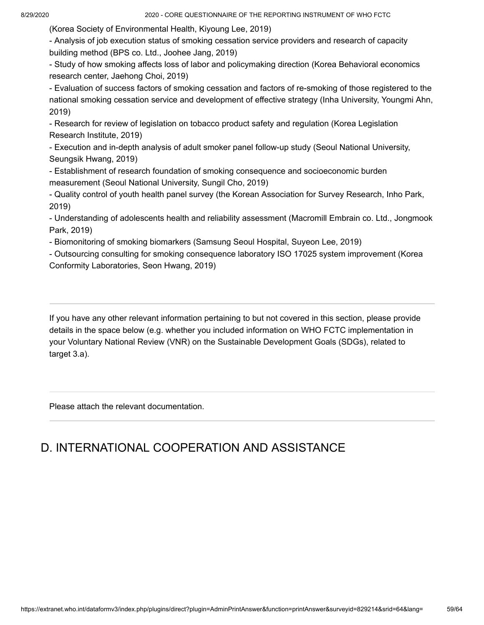(Korea Society of Environmental Health, Kiyoung Lee, 2019)

- Analysis of job execution status of smoking cessation service providers and research of capacity building method (BPS co. Ltd., Joohee Jang, 2019)

- Study of how smoking affects loss of labor and policymaking direction (Korea Behavioral economics research center, Jaehong Choi, 2019)

- Evaluation of success factors of smoking cessation and factors of re-smoking of those registered to the national smoking cessation service and development of effective strategy (Inha University, Youngmi Ahn, 2019)

- Research for review of legislation on tobacco product safety and regulation (Korea Legislation Research Institute, 2019)

- Execution and in-depth analysis of adult smoker panel follow-up study (Seoul National University, Seungsik Hwang, 2019)

- Establishment of research foundation of smoking consequence and socioeconomic burden measurement (Seoul National University, Sungil Cho, 2019)

- Quality control of youth health panel survey (the Korean Association for Survey Research, Inho Park, 2019)

- Understanding of adolescents health and reliability assessment (Macromill Embrain co. Ltd., Jongmook Park, 2019)

- Biomonitoring of smoking biomarkers (Samsung Seoul Hospital, Suyeon Lee, 2019)

- Outsourcing consulting for smoking consequence laboratory ISO 17025 system improvement (Korea Conformity Laboratories, Seon Hwang, 2019)

If you have any other relevant information pertaining to but not covered in this section, please provide details in the space below (e.g. whether you included information on WHO FCTC implementation in your Voluntary National Review (VNR) on the Sustainable Development Goals (SDGs), related to target 3.a).

Please attach the relevant documentation.

## D. INTERNATIONAL COOPERATION AND ASSISTANCE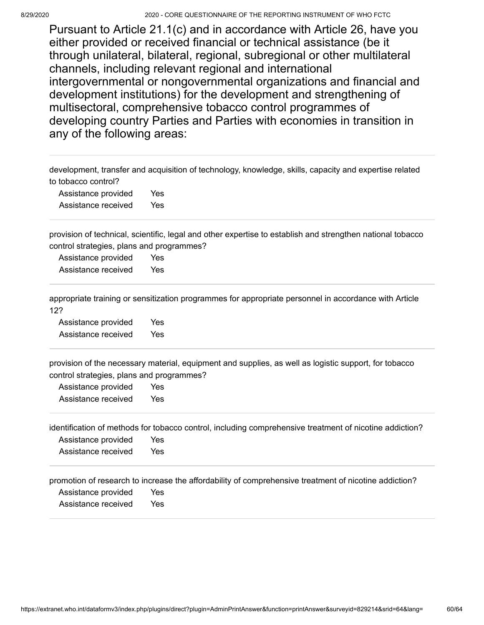Pursuant to Article 21.1(c) and in accordance with Article 26, have you either provided or received financial or technical assistance (be it through unilateral, bilateral, regional, subregional or other multilateral channels, including relevant regional and international intergovernmental or nongovernmental organizations and financial and development institutions) for the development and strengthening of multisectoral, comprehensive tobacco control programmes of developing country Parties and Parties with economies in transition in any of the following areas:

development, transfer and acquisition of technology, knowledge, skills, capacity and expertise related to tobacco control?

Assistance provided Yes Assistance received Yes

provision of technical, scientific, legal and other expertise to establish and strengthen national tobacco control strategies, plans and programmes?

Assistance provided Yes Assistance received Yes

appropriate training or sensitization programmes for appropriate personnel in accordance with Article 12?

Assistance provided Yes Assistance received Yes

provision of the necessary material, equipment and supplies, as well as logistic support, for tobacco control strategies, plans and programmes?

Assistance provided Yes Assistance received Yes

identification of methods for tobacco control, including comprehensive treatment of nicotine addiction?

Assistance provided Yes Assistance received Yes

promotion of research to increase the affordability of comprehensive treatment of nicotine addiction?

Assistance provided Yes

Assistance received Yes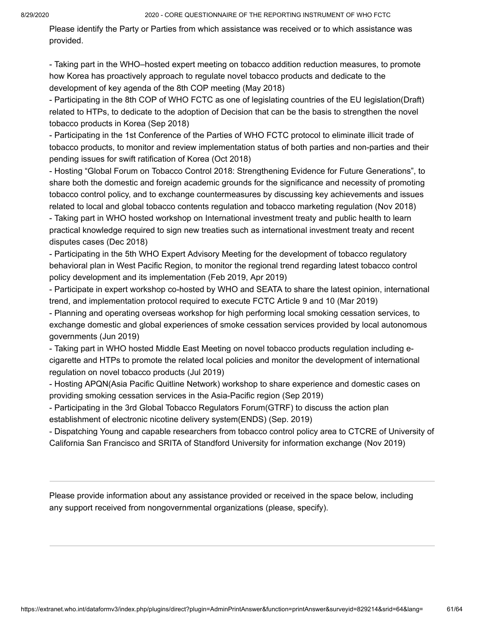Please identify the Party or Parties from which assistance was received or to which assistance was provided.

- Taking part in the WHO–hosted expert meeting on tobacco addition reduction measures, to promote how Korea has proactively approach to regulate novel tobacco products and dedicate to the development of key agenda of the 8th COP meeting (May 2018)

- Participating in the 8th COP of WHO FCTC as one of legislating countries of the EU legislation(Draft) related to HTPs, to dedicate to the adoption of Decision that can be the basis to strengthen the novel tobacco products in Korea (Sep 2018)

- Participating in the 1st Conference of the Parties of WHO FCTC protocol to eliminate illicit trade of tobacco products, to monitor and review implementation status of both parties and non-parties and their pending issues for swift ratification of Korea (Oct 2018)

- Hosting "Global Forum on Tobacco Control 2018: Strengthening Evidence for Future Generations", to share both the domestic and foreign academic grounds for the significance and necessity of promoting tobacco control policy, and to exchange countermeasures by discussing key achievements and issues related to local and global tobacco contents regulation and tobacco marketing regulation (Nov 2018) - Taking part in WHO hosted workshop on International investment treaty and public health to learn practical knowledge required to sign new treaties such as international investment treaty and recent disputes cases (Dec 2018)

- Participating in the 5th WHO Expert Advisory Meeting for the development of tobacco regulatory behavioral plan in West Pacific Region, to monitor the regional trend regarding latest tobacco control policy development and its implementation (Feb 2019, Apr 2019)

- Participate in expert workshop co-hosted by WHO and SEATA to share the latest opinion, international trend, and implementation protocol required to execute FCTC Article 9 and 10 (Mar 2019)

- Planning and operating overseas workshop for high performing local smoking cessation services, to exchange domestic and global experiences of smoke cessation services provided by local autonomous governments (Jun 2019)

- Taking part in WHO hosted Middle East Meeting on novel tobacco products regulation including ecigarette and HTPs to promote the related local policies and monitor the development of international regulation on novel tobacco products (Jul 2019)

- Hosting APQN(Asia Pacific Quitline Network) workshop to share experience and domestic cases on providing smoking cessation services in the Asia-Pacific region (Sep 2019)

- Participating in the 3rd Global Tobacco Regulators Forum(GTRF) to discuss the action plan establishment of electronic nicotine delivery system(ENDS) (Sep. 2019)

- Dispatching Young and capable researchers from tobacco control policy area to CTCRE of University of California San Francisco and SRITA of Standford University for information exchange (Nov 2019)

Please provide information about any assistance provided or received in the space below, including any support received from nongovernmental organizations (please, specify).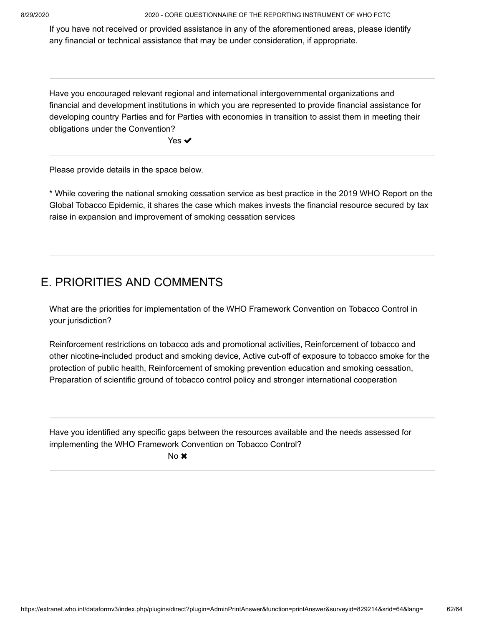If you have not received or provided assistance in any of the aforementioned areas, please identify any financial or technical assistance that may be under consideration, if appropriate.

Have you encouraged relevant regional and international intergovernmental organizations and financial and development institutions in which you are represented to provide financial assistance for developing country Parties and for Parties with economies in transition to assist them in meeting their obligations under the Convention?

Yes ✔

Please provide details in the space below.

\* While covering the national smoking cessation service as best practice in the 2019 WHO Report on the Global Tobacco Epidemic, it shares the case which makes invests the financial resource secured by tax raise in expansion and improvement of smoking cessation services

## E. PRIORITIES AND COMMENTS

What are the priorities for implementation of the WHO Framework Convention on Tobacco Control in your jurisdiction?

Reinforcement restrictions on tobacco ads and promotional activities, Reinforcement of tobacco and other nicotine-included product and smoking device, Active cut-off of exposure to tobacco smoke for the protection of public health, Reinforcement of smoking prevention education and smoking cessation, Preparation of scientific ground of tobacco control policy and stronger international cooperation

Have you identified any specific gaps between the resources available and the needs assessed for implementing the WHO Framework Convention on Tobacco Control?

No **x**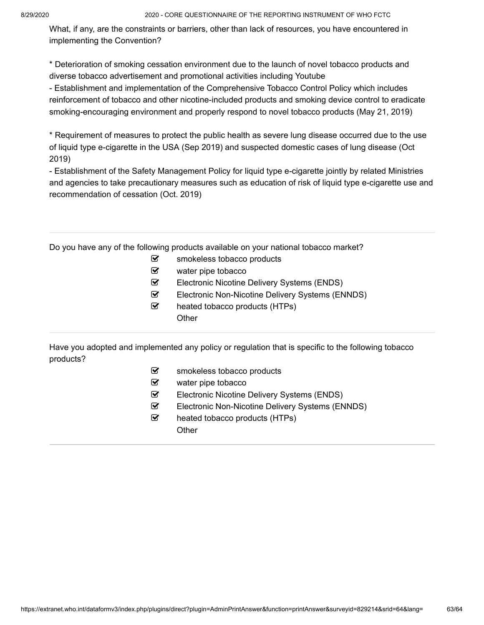What, if any, are the constraints or barriers, other than lack of resources, you have encountered in implementing the Convention?

\* Deterioration of smoking cessation environment due to the launch of novel tobacco products and diverse tobacco advertisement and promotional activities including Youtube

- Establishment and implementation of the Comprehensive Tobacco Control Policy which includes reinforcement of tobacco and other nicotine-included products and smoking device control to eradicate smoking-encouraging environment and properly respond to novel tobacco products (May 21, 2019)

\* Requirement of measures to protect the public health as severe lung disease occurred due to the use of liquid type e-cigarette in the USA (Sep 2019) and suspected domestic cases of lung disease (Oct 2019)

- Establishment of the Safety Management Policy for liquid type e-cigarette jointly by related Ministries and agencies to take precautionary measures such as education of risk of liquid type e-cigarette use and recommendation of cessation (Oct. 2019)

Do you have any of the following products available on your national tobacco market?

- $\mathcal{F}$  smokeless tobacco products
- $\mathcal G$  water pipe tobacco
- Electronic Nicotine Delivery Systems (ENDS)
- Electronic Non-Nicotine Delivery Systems (ENNDS)
- $\triangleright$  heated tobacco products (HTPs) **Other**

Have you adopted and implemented any policy or regulation that is specific to the following tobacco products?

- $\mathcal{\mathcal{F}}$  smokeless tobacco products
- water pipe tobacco
- Electronic Nicotine Delivery Systems (ENDS)
- Electronic Non-Nicotine Delivery Systems (ENNDS)
- $\triangledown$  heated tobacco products (HTPs) **Other**